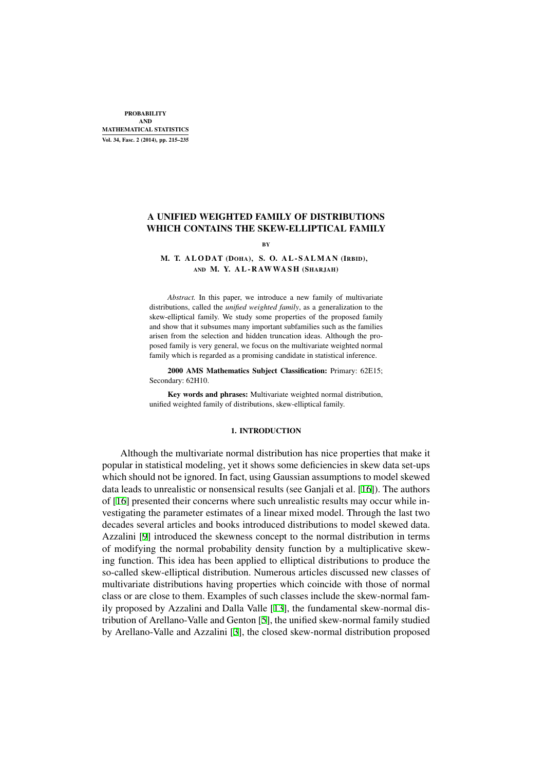# A UNIFIED WEIGHTED FAMILY OF DISTRIBUTIONS WHICH CONTAINS THE SKEW-ELLIPTICAL FAMILY

#### BY

## M. T. ALODAT (DOHA), S. O. AL-SALMAN (IRBID), AND M. Y. A L - R AWWA S H (SHARJAH)

*Abstract.* In this paper, we introduce a new family of multivariate distributions, called the *unified weighted family*, as a generalization to the skew-elliptical family. We study some properties of the proposed family and show that it subsumes many important subfamilies such as the families arisen from the selection and hidden truncation ideas. Although the proposed family is very general, we focus on the multivariate weighted normal family which is regarded as a promising candidate in statistical inference.

2000 AMS Mathematics Subject Classification: Primary: 62E15; Secondary: 62H10.

Key words and phrases: Multivariate weighted normal distribution, unified weighted family of distributions, skew-elliptical family.

#### 1. INTRODUCTION

Although the multivariate normal distribution has nice properties that make it popular in statistical modeling, yet it shows some deficiencies in skew data set-ups which should not be ignored. In fact, using Gaussian assumptions to model skewed data leads to unrealistic or nonsensical results (see Ganjali et al. [16]). The authors of [16] presented their concerns where such unrealistic results may occur while investigating the parameter estimates of a linear mixed model. Through the last two decades several articles and books introduced distributions to model skewed data. Azzalini [9] introduced the skewness concept to the normal dis[trib](#page-20-0)ution in terms of [mo](#page-20-0)difying the normal probability density function by a multiplicative skewing function. This idea has been applied to elliptical distributions to produce the so-called skew-elliptical distribution. Numerous articles discussed new classes of multivaria[te](#page-19-0) distributions having properties which coincide with those of normal class or are close to them. Examples of such classes include the skew-normal family proposed by Azzalini and Dalla Valle [13], the fundamental skew-normal distribution of Arellano-Valle and Genton [5], the unified skew-normal family studied by Arellano-Valle and Azzalini [3], the closed skew-normal distribution proposed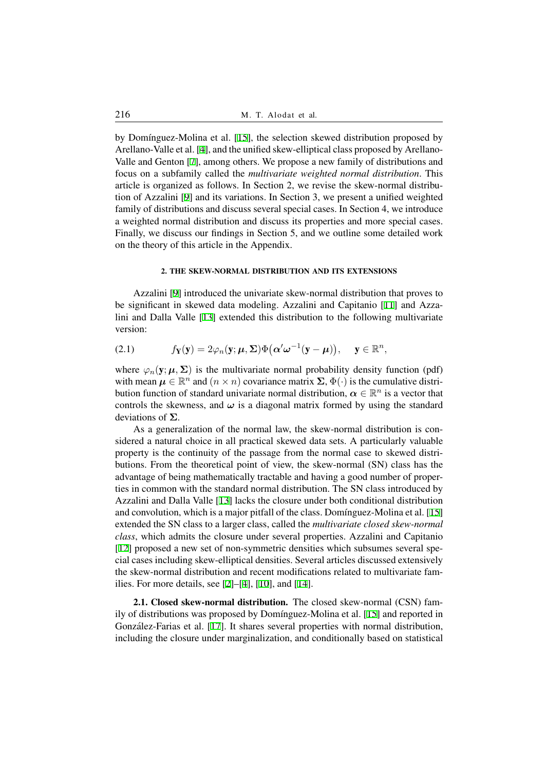by Domínguez-Molina et al. [15], the selection skewed distribution proposed by Arellano-Valle et al. [4], and the unified skew-elliptical class proposed by Arellano-Valle and Genton [7], among others. We propose a new family of distributions and focus on a subfamily called the *multivariate weighted normal distribution*. This article is organized as follows[. In](#page-20-1) Section 2, we revise the skew-normal distribution of Azzalini [9] [and](#page-19-1) its variations. In Section 3, we present a unified weighted family of distributi[on](#page-19-2)s and discuss several special cases. In Section 4, we introduce a weighted normal distribution and discuss its properties and more special cases. Finally, we discuss our findings in Section 5, and we outline some detailed work on the theory of t[hi](#page-19-0)s article in the Appendix.

#### 2. THE SKEW-NORMAL DISTRIBUTION AND ITS EXTENSIONS

Azzalini [9] introduced the univariate skew-normal distribution that proves to be significant in skewed data modeling. Azzalini and Capitanio [11] and Azzalini and Dalla Valle [13] extended this distribution to the following multivariate version:

(2.1) 
$$
f_{\mathbf{Y}}(\mathbf{y}) = 2\varphi_n(\mathbf{y}; \boldsymbol{\mu}, \boldsymbol{\Sigma}) \Phi(\boldsymbol{\alpha}' \boldsymbol{\omega}^{-1}(\mathbf{y} - \boldsymbol{\mu})), \quad \mathbf{y} \in \mathbb{R}^n,
$$

<span id="page-1-0"></span>where  $\varphi_n(y; \mu, \Sigma)$  i[s th](#page-19-4)e multivariate normal probability density function (pdf) with mean  $\mu \in \mathbb{R}^n$  and  $(n \times n)$  covariance matrix  $\Sigma$ ,  $\Phi(\cdot)$  is the cumulative distribution function of standard univariate normal distribution,  $\boldsymbol{\alpha} \in \mathbb{R}^n$  is a vector that controls the skewness, and  $\omega$  is a diagonal matrix formed by using the standard deviations of **Σ**.

As a generalization of the normal law, the skew-normal distribution is considered a natural choice in all practical skewed data sets. A particularly valuable property is the continuity of the passage from the normal case to skewed distributions. From the theoretical point of view, the skew-normal (SN) class has the advantage of being mathematically tractable and having a good number of properties in common with the standard normal distribution. The SN class introduced by Azzalini and Dalla Valle [13] lacks the closure under both conditional distribution and convolution, which is a major pitfall of the class. Domínguez-Molina et al. [15] extended the SN class to a larger class, called the *multivariate closed skew-normal class*, which admits the closure under several properties. Azzalini and Capitanio [12] proposed a new set [of n](#page-19-4)on-symmetric densities which subsumes several special cases including skew-elliptical densities. Several articles discussed extensi[vely](#page-20-1) the skew-normal distribution and recent modifications related to multivariate families. For more details, see  $[2]$ – $[4]$ ,  $[10]$ , and  $[14]$ .

2.1. Closed skew-normal distribution. The closed skew-normal (CSN) family of distributions was proposed by Domínguez-Molina et al. [15] and reported in González-Farias et al. [17][. I](#page-19-5)t [sh](#page-19-1)ar[es s](#page-19-6)everal [pro](#page-20-2)perties with normal distribution, including the closure under marginalization, and conditionally based on statistical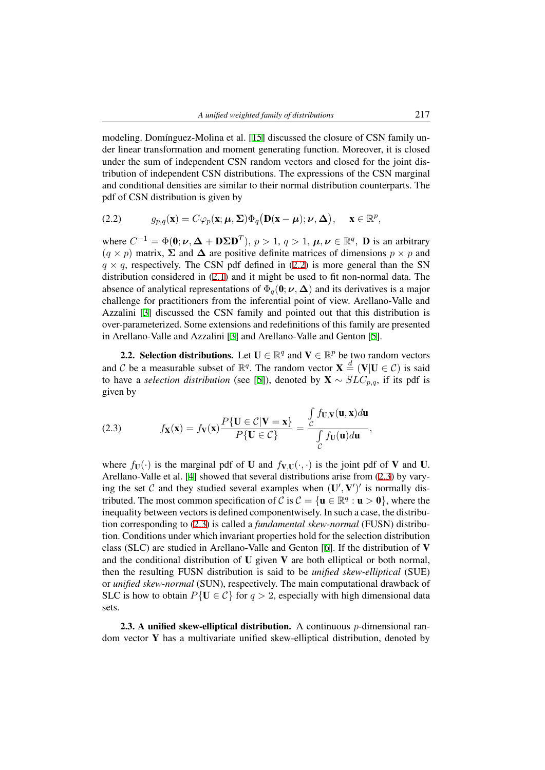modeling. Domínguez-Molina et al. [15] discussed the closure of CSN family under linear transformation and moment generating function. Moreover, it is closed under the sum of independent CSN random vectors and closed for the joint distribution of independent CSN distributions. The expressions of the CSN marginal and conditional densities are similar [to t](#page-20-1)heir normal distribution counterparts. The pdf of CSN distribution is given by

(2.2) 
$$
g_{p,q}(\mathbf{x})=C\varphi_p(\mathbf{x};\boldsymbol{\mu},\boldsymbol{\Sigma})\Phi_q(\mathbf{D}(\mathbf{x}-\boldsymbol{\mu});\boldsymbol{\nu},\boldsymbol{\Delta}), \quad \mathbf{x}\in\mathbb{R}^p,
$$

<span id="page-2-0"></span>where  $C^{-1} = \Phi(0; \nu, \Delta + \mathbf{D} \Sigma \mathbf{D}^T)$ ,  $p > 1$ ,  $q > 1$ ,  $\mu, \nu \in \mathbb{R}^q$ , **D** is an arbitrary  $(q \times p)$  matrix,  $\Sigma$  and  $\Delta$  are positive definite matrices of dimensions  $p \times p$  and  $q \times q$ , respectively. The CSN pdf defined in (2.2) is more general than the SN distribution considered in (2.1) and it might be used to fit non-normal data. The absence of analytical representations of  $\Phi_q(\mathbf{0}; \nu, \Delta)$  and its derivatives is a major challenge for practitioners from the inferential point of view. Arellano-Valle and Azzalini [3] discussed the CSN family and p[oint](#page-2-0)ed out that this distribution is over-parameterized. Some [exte](#page-1-0)nsions and redefinitions of this family are presented in Arellano-Valle and Azzalini [3] and Arellano-Valle and Genton [5].

**2.2. [Se](#page-19-7)lection distributions.** Let  $U \in \mathbb{R}^q$  and  $V \in \mathbb{R}^p$  be two random vectors and *C* be a measurable subset of  $\mathbb{R}^q$ . The random vector  $\mathbf{X} \stackrel{d}{=} (\mathbf{V} | \mathbf{U} \in \mathcal{C})$  is said to have a *selection distribution* [\(](#page-19-7)see [5]), denoted by  $X ∼ SLC_{p,q}$  $X ∼ SLC_{p,q}$  $X ∼ SLC_{p,q}$ , if its pdf is given by

(2.3) 
$$
f_{\mathbf{X}}(\mathbf{x}) = f_{\mathbf{V}}(\mathbf{x}) \frac{P\{\mathbf{U} \in C | \mathbf{V} = \mathbf{x}\}}{P\{\mathbf{U} \in C\}} = \frac{\int_{C} f_{\mathbf{U},\mathbf{V}}(\mathbf{u}, \mathbf{x}) d\mathbf{u}}{\int_{C} f_{\mathbf{U}}(\mathbf{u}) d\mathbf{u}},
$$

<span id="page-2-1"></span>where  $f_{\mathbf{U}}(\cdot)$  is the marginal pdf of **U** and  $f_{\mathbf{V},\mathbf{U}}(\cdot,\cdot)$  is the joint pdf of **V** and **U**. Arellano-Valle et al. [4] showed that several distributions arise from (2.3) by varying the set C and they studied several examples when  $(U', V')'$  is normally distributed. The most common specification of *C* is  $C = {\mathbf{u} \in \mathbb{R}^q : \mathbf{u} > \mathbf{0}}$ , where the inequality between vectors is defined componentwisely. In such a case, the distribution corresponding to [\(2](#page-19-1).3) is called a *fundamental skew-normal* (FU[SN\)](#page-2-1) distribution. Conditions under which invariant properties hold for the selection distribution class (SLC) are studied in Arellano-Valle and Genton [6]. If the distribution of V and the conditional distribution of  $U$  given  $V$  are both elliptical or both normal, then the resulting FU[SN](#page-2-1) distribution is said to be *unified skew-elliptical* (SUE) or *unified skew-normal* (SUN), respectively. The main computational drawback of SLC is how to obtain  $P{U \in C}$  for  $q > 2$ , especially [wi](#page-19-9)th high dimensional data sets.

2.3. A unified skew-elliptical distribution. A continuous *p*-dimensional random vector Y has a multivariate unified skew-elliptical distribution, denoted by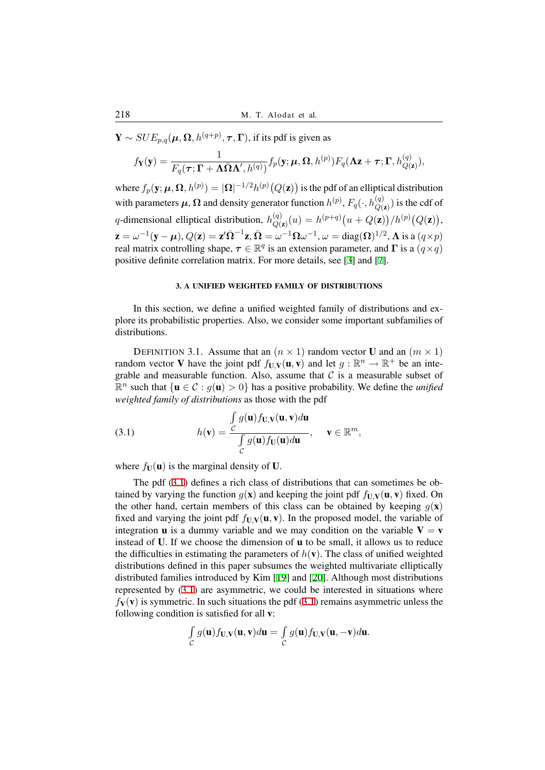Y *∼ SUEp,q*(*µ,* **Ω***, h*(*q*+*p*) *, τ ,***Γ**), if its pdf is given as

$$
f_{\mathbf{Y}}(\mathbf{y}) = \frac{1}{F_q(\boldsymbol{\tau}; \boldsymbol{\Gamma} + \boldsymbol{\Lambda} \bar{\boldsymbol{\Omega}} \boldsymbol{\Lambda}', h^{(q)})} f_p(\mathbf{y}; \boldsymbol{\mu}, \boldsymbol{\Omega}, h^{(p)}) F_q(\boldsymbol{\Lambda} \mathbf{z} + \boldsymbol{\tau}; \boldsymbol{\Gamma}, h^{(q)}_{Q(\mathbf{z})}),
$$

where  $f_p(\mathbf{y};\bm{\mu},\bm{\Omega},h^{(p)})=|\bm{\Omega}|^{-1/2}h^{(p)}\big(Q(\mathbf{z})\big)$  is the pdf of an elliptical distribution with parameters  $\mu$ ,  $\Omega$  and density generator function  $h^{(p)}, F_q(\cdot, h^{(q)}_{Q(\mathbf{z})})$  is the cdf of *q*-dimensional elliptical distribution,  $h_{Q}^{(q)}$  $Q(\mathbf{z}) (u) = h^{(p+q)} \big( u + Q(\mathbf{z}) \big) / h^{(p)} \big( Q(\mathbf{z}) \big),$  $\mathbf{z}=\omega^{-1}(\mathbf{y}-\boldsymbol{\mu}),Q(\mathbf{z})=\mathbf{z}'\bar{\mathbf{\Omega}}^{-1}\mathbf{z},\bar{\mathbf{\Omega}}=\omega^{-1}\mathbf{\Omega}\omega^{-1},\omega=\mathrm{diag}(\mathbf{\Omega})^{1/2},\mathbf{\Lambda} \text{ is a } (q\times p)$ real matrix controlling shape,  $\tau \in \mathbb{R}^q$  is an extension parameter, and  $\Gamma$  is a  $(q \times q)$ positive definite correlation matrix. For more details, see [3] and [7].

## 3. A UNIFIED WEIGHTED FAMILY OF DISTRIBUTIONS

In this section, we define a unified weighted family [o](#page-19-7)f distr[ib](#page-19-2)utions and explore its probabilistic properties. Also, we consider some important subfamilies of distributions.

DEFINITION 3.1. Assume that an  $(n \times 1)$  random vector **U** and an  $(m \times 1)$ random vector **V** have the joint pdf  $f_{U,V}(u, v)$  and let  $g : \mathbb{R}^n \to \mathbb{R}^+$  be an integrable and measurable function. Also, assume that  $C$  is a measurable subset of  $\mathbb{R}^n$  such that  $\{ \mathbf{u} \in \mathcal{C} : g(\mathbf{u}) > 0 \}$  has a positive probability. We define the *unified weighted family of distributions* as those with the pdf

(3.1) 
$$
h(\mathbf{v}) = \frac{\int_{C} g(\mathbf{u}) f_{\mathbf{U},\mathbf{V}}(\mathbf{u}, \mathbf{v}) d\mathbf{u}}{\int_{C} g(\mathbf{u}) f_{\mathbf{U}}(\mathbf{u}) d\mathbf{u}}, \quad \mathbf{v} \in \mathbb{R}^{m},
$$

where  $f_{\mathbf{U}}(\mathbf{u})$  is the marginal density of **U**.

<span id="page-3-0"></span>The pdf (3.1) defines a rich class of distributions that can sometimes be obtained by varying the function  $q(\mathbf{x})$  and keeping the joint pdf  $f_{\mathbf{U}}\mathbf{v}(\mathbf{u}, \mathbf{v})$  fixed. On the other hand, certain members of this class can be obtained by keeping  $g(x)$ fixed and varying the joint pdf  $f_{U,V}(u, v)$ . In the proposed model, the variable of integration **u** [is a](#page-3-0) dummy variable and we may condition on the variable  $V = v$ instead of U. If we choose the dimension of u to be small, it allows us to reduce the difficulties in estimating the parameters of  $h(\mathbf{v})$ . The class of unified weighted distributions defined in this paper subsumes the weighted multivariate elliptically distributed families introduced by Kim [19] and [20]. Although most distributions represented by (3.1) are asymmetric, we could be interested in situations where  $f_V(v)$  is symmetric. In such situations the pdf (3.1) remains asymmetric unless the following condition is satisfied for all v:

$$
\int_{C} g(\mathbf{u}) f_{\mathbf{U},\mathbf{V}}(\mathbf{u}, \mathbf{v}) d\mathbf{u} = \int_{C} g(\mathbf{u}) f_{\mathbf{U},\mathbf{V}}(\mathbf{u}, -\mathbf{v}) d\mathbf{u}.
$$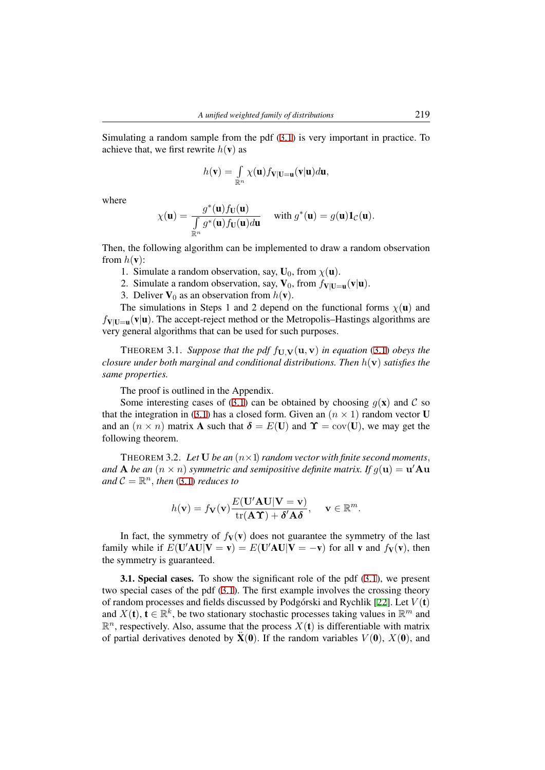Simulating a random sample from the pdf (3.1) is very important in practice. To achieve that, we first rewrite  $h(\mathbf{v})$  as

$$
h(\mathbf{v}) = \int_{\mathbb{R}^n} \chi(\mathbf{u}) f_{\mathbf{V}|\mathbf{U}=\mathbf{u}}(\mathbf{v}|\mathbf{u}) d\mathbf{u},
$$

where

$$
\chi(\mathbf{u}) = \frac{g^*(\mathbf{u})f_{\mathbf{U}}(\mathbf{u})}{\int\limits_{\mathbb{R}^n} g^*(\mathbf{u})f_{\mathbf{U}}(\mathbf{u})d\mathbf{u}} \quad \text{ with } g^*(\mathbf{u}) = g(\mathbf{u})\mathbf{1}_{\mathcal{C}}(\mathbf{u}).
$$

Then, the following algorithm can be implemented to draw a random observation from  $h(\mathbf{v})$ :

- 1. Simulate a random observation, say,  $U_0$ , from  $\chi(\mathbf{u})$ .
- 2. Simulate a random observation, say,  $V_0$ , from  $f_{V|U=u}(v|u)$ .
- 3. Deliver  $V_0$  as an observation from  $h(\mathbf{v})$ .

The simulations in Steps 1 and 2 depend on the functional forms  $\chi(\mathbf{u})$  and  $f_{V|U=u}(v|u)$ . The accept-reject method or the Metropolis–Hastings algorithms are very general algorithms that can be used for such purposes.

THEOREM 3.1. Suppose that the pdf  $f_{\mathbf{U},\mathbf{V}}(\mathbf{u},\mathbf{v})$  in equation (3.1) obeys the *closure under both marginal and conditional distributions. Then h*(**v**) *satisfies the same properties.*

The proof is outlined in the Appendix.

Some interesting cases of (3.1) can be obtained by choosing  $q(\mathbf{x})$  $q(\mathbf{x})$  $q(\mathbf{x})$  and  $\mathcal{C}$  so that the integration in (3.1) has a closed form. Given an  $(n \times 1)$  random vector U and an  $(n \times n)$  matrix **A** such that  $\delta = E(U)$  and  $\Upsilon = cov(U)$ , we may get the following theorem.

THEOREM 3.2. Let  $U$  *be an*  $(n \times 1)$  *random vector with finite second moments*, *and* **A** *be an* (*n × n*) *symmetric and semipositive definite matrix. If g*(**u**) = **u** *′***Au**  $and$   $C = \mathbb{R}^n$ , *then* (3.1) *reduces to* 

$$
h(\mathbf{v}) = f_{\mathbf{V}}(\mathbf{v}) \frac{E(\mathbf{U}' \mathbf{A} \mathbf{U} | \mathbf{V} = \mathbf{v})}{\text{tr}(\mathbf{A} \Upsilon) + \delta' \mathbf{A} \delta}, \quad \mathbf{v} \in \mathbb{R}^m.
$$

<span id="page-4-0"></span>In fact, the symmetry of  $f_V(v)$  does not guarantee the symmetry of the last family while if  $E(\mathbf{U}'\mathbf{A}\mathbf{U}|\mathbf{V}=\mathbf{v})=E(\mathbf{U}'\mathbf{A}\mathbf{U}|\mathbf{V}=-\mathbf{v})$  for all **v** and  $f_{\mathbf{V}}(\mathbf{v})$ , then the symmetry is guaranteed.

3.1. Special cases. To show the significant role of the pdf (3.1), we present two special cases of the pdf (3.1). The first example involves the crossing theory of random processes and fields discussed by Podgórski and Rychlik [22]. Let  $V(t)$ and  $X(t)$ ,  $t \in \mathbb{R}^k$ , be two stationary stochastic processes taking values in  $\mathbb{R}^m$  and  $\mathbb{R}^n$ , respectively. Also, assume that the process  $X(t)$  is differenti[able](#page-3-0) with matrix of partial derivatives denoted [by](#page-3-0)  $\ddot{\mathbf{X}}(0)$ . If the random variables  $V(0)$ ,  $X(0)$ , and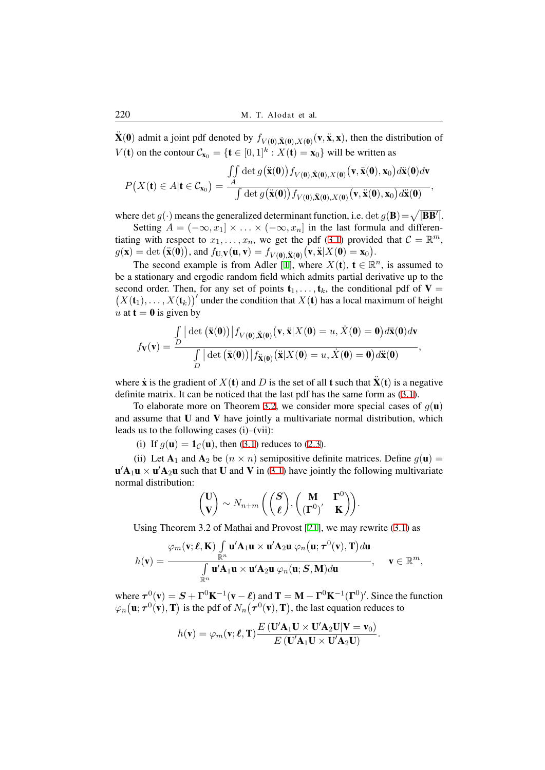$\ddot{\mathbf{X}}(\mathbf{0})$  admit a joint pdf denoted by  $f_{V(\mathbf{0}), \ddot{\mathbf{X}}(\mathbf{0}), X(\mathbf{0})}(\mathbf{v}, \ddot{\mathbf{x}}, \mathbf{x})$ , then the distribution of *V*(**t**) on the contour  $\mathcal{C}_{\mathbf{x}_0} = {\mathbf{t} \in [0,1]^k : X(\mathbf{t}) = \mathbf{x}_0}$  will be written as

$$
P\big(X(\mathbf{t})\in A|\mathbf{t}\in\mathcal{C}_{\mathbf{x}_0}\big)=\frac{\iint\limits_A\det g\big(\ddot{\mathbf{x}}(\mathbf{0})\big)f_{V(\mathbf{0}),\ddot{\mathbf{X}}(\mathbf{0}),X(\mathbf{0})}\big(\mathbf{v},\ddot{\mathbf{x}}(\mathbf{0}),\mathbf{x}_0\big)d\ddot{\mathbf{x}}(\mathbf{0})d\mathbf{v}}{\int\limits_A\det g\big(\ddot{\mathbf{x}}(\mathbf{0})\big)f_{V(\mathbf{0}),\ddot{\mathbf{X}}(\mathbf{0}),X(\mathbf{0})}\big(\mathbf{v},\ddot{\mathbf{x}}(\mathbf{0}),\mathbf{x}_0\big)d\ddot{\mathbf{x}}(\mathbf{0})},
$$

where  $\det g(\cdot)$  means the generalized determinant function, i.e.  $\det g(\mathbf{B}) = \sqrt{|\mathbf{B}\mathbf{B}'|}$ . Setting  $A = (-\infty, x_1] \times \ldots \times (-\infty, x_n]$  in the last formula and differentiating with respect to  $x_1, \ldots, x_n$ , we get the pdf (3.1) provided that  $C = \mathbb{R}^m$ ,  $g(\mathbf{x}) = \det (\ddot{\mathbf{x}}(0)),$  and  $f_{\mathbf{U},\mathbf{V}}(\mathbf{u}, \mathbf{v}) = f_{V(\mathbf{0}), \ddot{\mathbf{X}}(\mathbf{0})}(\mathbf{v}, \ddot{\mathbf{x}} | X(\mathbf{0}) = \mathbf{x}_0).$ 

The second example is from Adler [1], where  $X(t)$ ,  $t \in \mathbb{R}^n$ , is assumed to be a stationary and ergodic random field which admits partial derivative up to the second order. Then, for any set of points  $\mathbf{t}_1, \ldots, \mathbf{t}_k$ [, the](#page-3-0) conditional pdf of  $V =$  $(X(t_1),...,X(t_k))'$  under the condition that  $X(t)$  has a local maximum of height *u* at  $t = 0$  is given by

$$
f_{\mathbf{V}}(\mathbf{v}) = \frac{\int\limits_D |\det(\ddot{\mathbf{x}}(\mathbf{0}))| f_{V(\mathbf{0}), \ddot{\mathbf{X}}(\mathbf{0})}(\mathbf{v}, \ddot{\mathbf{x}}|X(\mathbf{0}) = u, \dot{X}(\mathbf{0}) = \mathbf{0}) d\ddot{\mathbf{x}}(\mathbf{0}) d\mathbf{v}}{\int\limits_D |\det(\ddot{\mathbf{x}}(\mathbf{0}))| f_{\ddot{\mathbf{X}}(\mathbf{0})}(\ddot{\mathbf{x}}|X(\mathbf{0}) = u, \dot{X}(\mathbf{0}) = \mathbf{0}) d\ddot{\mathbf{x}}(\mathbf{0})},
$$

where  $\dot{\mathbf{x}}$  is the gradient of  $X(\mathbf{t})$  and *D* is the set of all **t** such that  $\ddot{\mathbf{X}}(\mathbf{t})$  is a negative definite matrix. It can be noticed that the last pdf has the same form as (3.1).

To elaborate more on Theorem 3.2, we consider more special cases of  $g(\mathbf{u})$ and assume that  $U$  and  $V$  have jointly a multivariate normal distribution, which leads us to the following cases (i)–(vii):

(i) If  $g(\mathbf{u}) = \mathbf{1}_{\mathcal{C}}(\mathbf{u})$ , then (3.1) reduces to (2.3).

(ii) Let  $A_1$  and  $A_2$  be  $(n \times n)$  [sem](#page-4-0)ipositive definite matrices. Define  $g(\mathbf{u}) =$  ${\bf u}'{\bf A}_1{\bf u}\times{\bf u}'{\bf A}_2{\bf u}$  such that U and V in (3.1) have jointly the following multivariate normal distribution:

$$
\begin{pmatrix} \mathbf{U} \\ \mathbf{V} \end{pmatrix} \sim N_{n+m} \left( \begin{pmatrix} \mathbf{S} \\ \boldsymbol{\ell} \end{pmatrix}, \begin{pmatrix} \mathbf{M} & \mathbf{\Gamma}^0 \\ (\mathbf{\Gamma}^0)' & \mathbf{K} \end{pmatrix} \right).
$$

Using Theorem 3.2 of Mathai and Provost [21], we may rewrite (3.1) as

$$
h(\mathbf{v}) = \frac{\varphi_m(\mathbf{v}; \boldsymbol{\ell}, \mathbf{K}) \int\limits_{\mathbb{R}^n} \mathbf{u}' \mathbf{A}_1 \mathbf{u} \times \mathbf{u}' \mathbf{A}_2 \mathbf{u} \varphi_n(\mathbf{u}; \boldsymbol{\tau}^0(\mathbf{v}), \mathbf{T}) d\mathbf{u}}{\int\limits_{\mathbb{R}^n} \mathbf{u}' \mathbf{A}_1 \mathbf{u} \times \mathbf{u}' \mathbf{A}_2 \mathbf{u} \varphi_n(\mathbf{u}; \mathbf{S}, \mathbf{M}) d\mathbf{u}}, \quad \mathbf{v} \in \mathbb{R}^m,
$$

where  $\tau^{0}(v) = S + \Gamma^{0} K^{-1}(v - \ell)$  and  $T = M - \Gamma^{0} K^{-1}(\Gamma^{0})'$ . Since the function  $\varphi_n\big(\mathbf{u}; \boldsymbol{\tau}^0(\mathbf{v}), \mathbf{T}\big)$  is the pdf of  $N_n\big(\boldsymbol{\tau}^0(\mathbf{v}), \mathbf{T}\big)$ , the last equation reduces to

$$
h(\mathbf{v}) = \varphi_m(\mathbf{v}; \boldsymbol{\ell}, \mathbf{T}) \frac{E(\mathbf{U}' \mathbf{A}_1 \mathbf{U} \times \mathbf{U}' \mathbf{A}_2 \mathbf{U} | \mathbf{V} = \mathbf{v}_0)}{E(\mathbf{U}' \mathbf{A}_1 \mathbf{U} \times \mathbf{U}' \mathbf{A}_2 \mathbf{U})}.
$$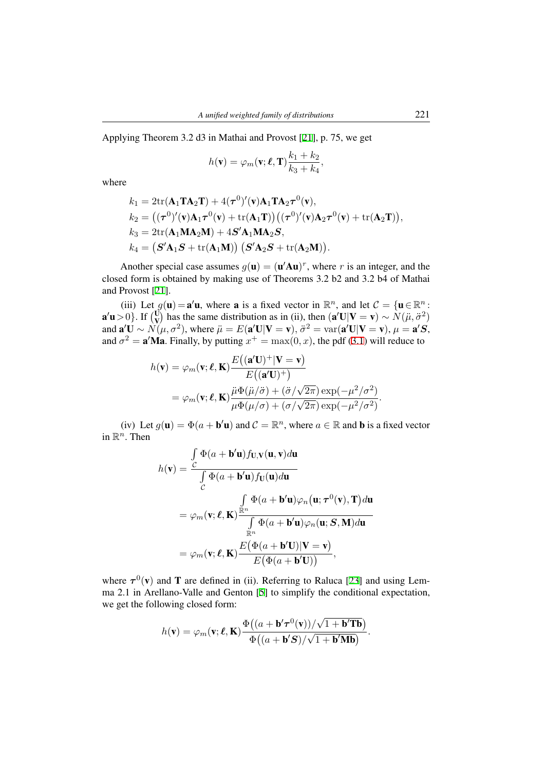Applying Theorem 3.2 d3 in Mathai and Provost [21], p. 75, we get

$$
h(\mathbf{v}) = \varphi_m(\mathbf{v}; \boldsymbol{\ell}, \mathbf{T}) \frac{k_1 + k_2}{k_3 + k_4},
$$

where

$$
k_1 = 2\text{tr}(\mathbf{A}_1 \mathbf{T} \mathbf{A}_2 \mathbf{T}) + 4(\boldsymbol{\tau}^0)'(\mathbf{v}) \mathbf{A}_1 \mathbf{T} \mathbf{A}_2 \boldsymbol{\tau}^0(\mathbf{v}),
$$
  
\n
$$
k_2 = ((\boldsymbol{\tau}^0)'(\mathbf{v}) \mathbf{A}_1 \boldsymbol{\tau}^0(\mathbf{v}) + \text{tr}(\mathbf{A}_1 \mathbf{T})) ((\boldsymbol{\tau}^0)'(\mathbf{v}) \mathbf{A}_2 \boldsymbol{\tau}^0(\mathbf{v}) + \text{tr}(\mathbf{A}_2 \mathbf{T})),
$$
  
\n
$$
k_3 = 2\text{tr}(\mathbf{A}_1 \mathbf{M} \mathbf{A}_2 \mathbf{M}) + 4\mathbf{S}' \mathbf{A}_1 \mathbf{M} \mathbf{A}_2 \mathbf{S},
$$
  
\n
$$
k_4 = (\mathbf{S}' \mathbf{A}_1 \mathbf{S} + \text{tr}(\mathbf{A}_1 \mathbf{M})) (\mathbf{S}' \mathbf{A}_2 \mathbf{S} + \text{tr}(\mathbf{A}_2 \mathbf{M})).
$$

Another special case assumes  $g(\mathbf{u}) = (\mathbf{u}'\mathbf{A}\mathbf{u})^r$ , where *r* is an integer, and the closed form is obtained by making use of Theorems 3.2 b2 and 3.2 b4 of Mathai and Provost [21].

(iii) Let  $g(\mathbf{u}) = \mathbf{a}'\mathbf{u}$ , where **a** is a fixed vector in  $\mathbb{R}^n$ , and let  $C = {\mathbf{u} \in \mathbb{R}^n}$ :  $\mathbf{a}'\mathbf{u} > 0$ . If  $\begin{pmatrix} \mathbf{U} \\ \mathbf{V} \end{pmatrix}$  has the same distribution as in (ii), then  $(\mathbf{a}'\mathbf{U}|\mathbf{V} = \mathbf{v}) \sim N(\mu, \sigma^2)$ and  $\mathbf{a}'\mathbf{U} \sim \mathcal{N}(\mu, \sigma^2)$ , where  $\ddot{\mu} = E(\mathbf{a}'\mathbf{U}|\mathbf{V}=\mathbf{v}), \ddot{\sigma}^2 = \text{var}(\mathbf{a}'\mathbf{U}|\mathbf{V}=\mathbf{v}), \mu = \mathbf{a}'\mathbf{S},$ and  $\sigma^2 = \mathbf{a}' \mathbf{M} \mathbf{a}$ . Finally, by putting  $x^+ = \max(0, x)$ , the pdf (3.1) will reduce to

$$
h(\mathbf{v}) = \varphi_m(\mathbf{v}; \boldsymbol{\ell}, \mathbf{K}) \frac{E((\mathbf{a}'\mathbf{U})^+|\mathbf{V} = \mathbf{v})}{E((\mathbf{a}'\mathbf{U})^+)} = \varphi_m(\mathbf{v}; \boldsymbol{\ell}, \mathbf{K}) \frac{\ddot{\mu}\Phi(\ddot{\mu}/\ddot{\sigma}) + (\ddot{\sigma}/\sqrt{2\pi}) \exp(-\mu^2/\sigma^2)}{\mu\Phi(\mu/\sigma) + (\sigma/\sqrt{2\pi}) \exp(-\mu^2/\sigma^2)}.
$$

(iv) Let  $g(\mathbf{u}) = \Phi(a + \mathbf{b}'\mathbf{u})$  and  $\mathcal{C} = \mathbb{R}^n$ , where  $a \in \mathbb{R}$  and **b** is a fixed vector in  $\mathbb{R}^n$ . Then

$$
h(\mathbf{v}) = \frac{\int_{C} \Phi(a + \mathbf{b}^{\prime} \mathbf{u}) f_{\mathbf{U},\mathbf{V}}(\mathbf{u}, \mathbf{v}) d\mathbf{u}}{\int_{C} \Phi(a + \mathbf{b}^{\prime} \mathbf{u}) f_{\mathbf{U}}(\mathbf{u}) d\mathbf{u}}
$$
  
=  $\varphi_m(\mathbf{v}; \ell, \mathbf{K}) \frac{\int_{\mathbb{R}^n} \Phi(a + \mathbf{b}^{\prime} \mathbf{u}) \varphi_n(\mathbf{u}; \tau^0(\mathbf{v}), \mathbf{T}) d\mathbf{u}}{\int_{\mathbb{R}^n} \Phi(a + \mathbf{b}^{\prime} \mathbf{u}) \varphi_n(\mathbf{u}; \mathbf{S}, \mathbf{M}) d\mathbf{u}}$   
=  $\varphi_m(\mathbf{v}; \ell, \mathbf{K}) \frac{E(\Phi(a + \mathbf{b}^{\prime} \mathbf{U}) | \mathbf{V} = \mathbf{v})}{E(\Phi(a + \mathbf{b}^{\prime} \mathbf{U}))},$ 

where  $\tau^{0}(v)$  and T are defined in (ii). Referring to Raluca [23] and using Lemma 2.1 in Arellano-Valle and Genton [5] to simplify the conditional expectation, we get the following closed form:

$$
h(\mathbf{v}) = \varphi_m(\mathbf{v}; \ell, \mathbf{K}) \frac{\Phi((a + \mathbf{b}' \boldsymbol{\tau}^0(\mathbf{v}))/\sqrt{1 + \mathbf{b}' \mathbf{T} \mathbf{b}})}{\Phi((a + \mathbf{b}' \mathbf{S})/\sqrt{1 + \mathbf{b}' \mathbf{M} \mathbf{b}})}.
$$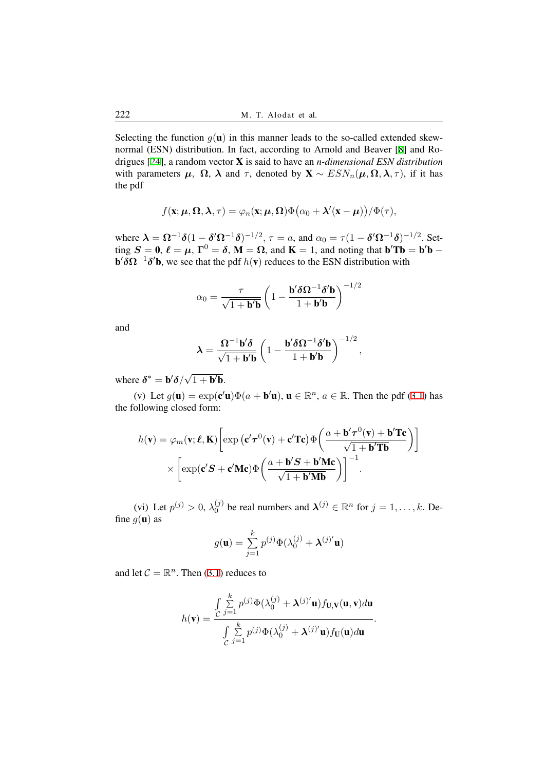Selecting the function  $g(\mathbf{u})$  in this manner leads to the so-called extended skewnormal (ESN) distribution. In fact, according to Arnold and Beaver [8] and Rodrigues [24], a random vector X is said to have an *n-dimensional ESN distribution* with parameters  $\mu$ ,  $\Omega$ ,  $\lambda$  and  $\tau$ , denoted by  $\mathbf{X} \sim ESN_n(\mu, \Omega, \lambda, \tau)$ , if it has the pdf

$$
f(\mathbf{x}; \boldsymbol{\mu}, \boldsymbol{\Omega}, \boldsymbol{\lambda}, \tau) = \varphi_n(\mathbf{x}; \boldsymbol{\mu}, \boldsymbol{\Omega}) \Phi(\alpha_0 + \boldsymbol{\lambda}'(\mathbf{x} - \boldsymbol{\mu})) / \Phi(\tau),
$$

where  $\lambda = \Omega^{-1}\delta(1-\delta'\Omega^{-1}\delta)^{-1/2}$ ,  $\tau = a$ , and  $\alpha_0 = \tau(1-\delta'\Omega^{-1}\delta)^{-1/2}$ . Setting  $S = 0$ ,  $\ell = \mu$ ,  $\Gamma^0 = \delta$ ,  $M = \Omega$ , and  $K = 1$ , and noting that  $\mathbf{b}'\mathbf{Tb} = \mathbf{b}'\mathbf{b} - \mathbf{b}'\mathbf{b}$  $\mathbf{b}' \delta \mathbf{\Omega}^{-1} \delta' \mathbf{b}$ , we see that the pdf  $h(\mathbf{v})$  reduces to the ESN distribution with

$$
\alpha_0 = \frac{\tau}{\sqrt{1 + \mathbf{b}'\mathbf{b}}} \left( 1 - \frac{\mathbf{b}' \delta \mathbf{\Omega}^{-1} \delta' \mathbf{b}}{1 + \mathbf{b}'\mathbf{b}} \right)^{-1/2}
$$

and

$$
\lambda = \frac{\mathbf{\Omega}^{-1} \mathbf{b}' \delta}{\sqrt{1 + \mathbf{b}' \mathbf{b}}} \left( 1 - \frac{\mathbf{b}' \delta \mathbf{\Omega}^{-1} \delta' \mathbf{b}}{1 + \mathbf{b}' \mathbf{b}} \right)^{-1/2},
$$

where  $\delta^* = \mathbf{b}'\delta/$ *√*  $1 + \mathbf{b}'\mathbf{b}$ .

(v) Let  $g(\mathbf{u}) = \exp(c'\mathbf{u})\Phi(a + \mathbf{b}'\mathbf{u})$ ,  $\mathbf{u} \in \mathbb{R}^n$ ,  $a \in \mathbb{R}$ . Then the pdf (3.1) has the following closed form:

$$
h(\mathbf{v}) = \varphi_m(\mathbf{v}; \ell, \mathbf{K}) \left[ \exp\left(\mathbf{c}'\boldsymbol{\tau}^0(\mathbf{v}) + \mathbf{c}'\mathbf{T}\mathbf{c}\right) \Phi\left(\frac{a + \mathbf{b}'\boldsymbol{\tau}^0(\mathbf{v}) + \mathbf{b}'\mathbf{T}\mathbf{c}}{\sqrt{1 + \mathbf{b}'\mathbf{T}\mathbf{b}}}\right) \right]
$$

$$
\times \left[ \exp(\mathbf{c}'\mathbf{S} + \mathbf{c}'\mathbf{M}\mathbf{c}) \Phi\left(\frac{a + \mathbf{b}'\mathbf{S} + \mathbf{b}'\mathbf{M}\mathbf{c}}{\sqrt{1 + \mathbf{b}'\mathbf{M}\mathbf{b}}}\right) \right]^{-1}.
$$

(vi) Let  $p^{(j)} > 0$ ,  $\lambda_0^{(j)}$  $\lambda_0^{(j)}$  be real numbers and  $\lambda^{(j)} \in \mathbb{R}^n$  for  $j = 1, \dots, k$ . Define  $g(\mathbf{u})$  as

$$
g(\mathbf{u}) = \sum_{j=1}^{k} p^{(j)} \Phi(\lambda_0^{(j)} + \boldsymbol{\lambda}^{(j)'} \mathbf{u})
$$

and let  $C = \mathbb{R}^n$ . Then (3.1) reduces to

$$
h(\mathbf{v}) = \frac{\int_{C} \sum_{j=1}^{k} p^{(j)} \Phi(\lambda_0^{(j)} + \lambda^{(j)'} \mathbf{u}) f_{\mathbf{U},\mathbf{V}}(\mathbf{u}, \mathbf{v}) d\mathbf{u}}{\int_{C} \sum_{j=1}^{k} p^{(j)} \Phi(\lambda_0^{(j)} + \lambda^{(j)'} \mathbf{u}) f_{\mathbf{U}}(\mathbf{u}) d\mathbf{u}}
$$

*.*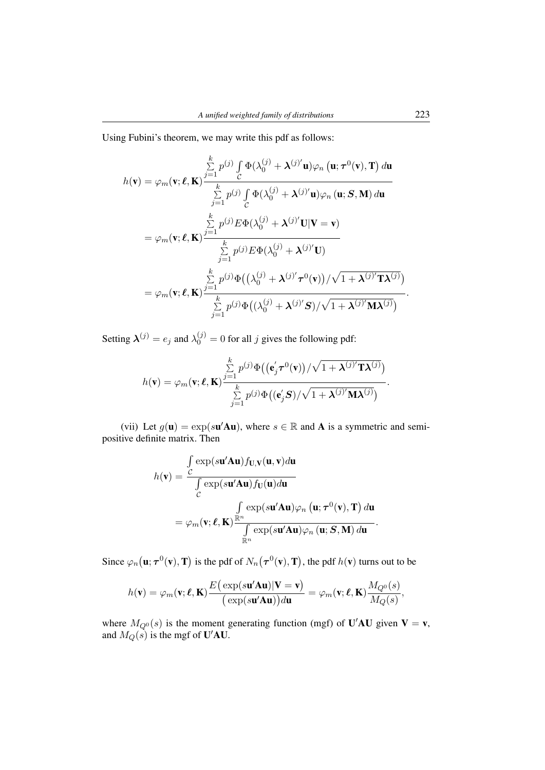Using Fubini's theorem, we may write this pdf as follows:

$$
h(\mathbf{v}) = \varphi_m(\mathbf{v}; \boldsymbol{\ell}, \mathbf{K}) \frac{\sum\limits_{j=1}^k p^{(j)} \int\limits_C \Phi(\lambda_0^{(j)} + \boldsymbol{\lambda}^{(j)'} \mathbf{u}) \varphi_n (\mathbf{u}; \boldsymbol{\tau}^0(\mathbf{v}), \mathbf{T}) d\mathbf{u}}{\sum\limits_{j=1}^k p^{(j)} \int\limits_C \Phi(\lambda_0^{(j)} + \boldsymbol{\lambda}^{(j)'} \mathbf{u}) \varphi_n (\mathbf{u}; \mathbf{S}, \mathbf{M}) d\mathbf{u}}
$$
  
\n
$$
= \varphi_m(\mathbf{v}; \boldsymbol{\ell}, \mathbf{K}) \frac{\sum\limits_{j=1}^k p^{(j)} E \Phi(\lambda_0^{(j)} + \boldsymbol{\lambda}^{(j)'} \mathbf{U} | \mathbf{V} = \mathbf{v})}{\sum\limits_{j=1}^k p^{(j)} E \Phi(\lambda_0^{(j)} + \boldsymbol{\lambda}^{(j)'} \mathbf{U})}
$$
  
\n
$$
= \varphi_m(\mathbf{v}; \boldsymbol{\ell}, \mathbf{K}) \frac{\sum\limits_{j=1}^k p^{(j)} \Phi((\lambda_0^{(j)} + \boldsymbol{\lambda}^{(j)'} \boldsymbol{\tau}^0(\mathbf{v})) / \sqrt{1 + \boldsymbol{\lambda}^{(j)'} \mathbf{T} \boldsymbol{\lambda}^{(j)}})}{\sum\limits_{j=1}^k p^{(j)} \Phi((\lambda_0^{(j)} + \boldsymbol{\lambda}^{(j)'} \mathbf{S}) / \sqrt{1 + \boldsymbol{\lambda}^{(j)'} \mathbf{M} \boldsymbol{\lambda}^{(j)}})}.
$$

Setting  $\lambda^{(j)} = e_j$  and  $\lambda_0^{(j)} = 0$  for all *j* gives the following pdf:

$$
h(\mathbf{v}) = \varphi_m(\mathbf{v}; \ell, \mathbf{K}) \frac{\sum\limits_{j=1}^k p^{(j)} \Phi((\mathbf{e}'_j \boldsymbol{\tau}^0(\mathbf{v}))/\sqrt{1 + \boldsymbol{\lambda}^{(j)'} \mathbf{T} \boldsymbol{\lambda}^{(j)}})}{\sum\limits_{j=1}^k p^{(j)} \Phi((\mathbf{e}'_j \boldsymbol{S})/\sqrt{1 + \boldsymbol{\lambda}^{(j)'} \mathbf{M} \boldsymbol{\lambda}^{(j)}})}.
$$

(vii) Let  $g(\mathbf{u}) = \exp(s\mathbf{u}'\mathbf{A}\mathbf{u})$ , where  $s \in \mathbb{R}$  and **A** is a symmetric and semipositive definite matrix. Then

$$
h(\mathbf{v}) = \frac{\int_{C} \exp(s\mathbf{u}'\mathbf{A}\mathbf{u}) f_{\mathbf{U},\mathbf{V}}(\mathbf{u}, \mathbf{v}) d\mathbf{u}}{\int_{C} \exp(s\mathbf{u}'\mathbf{A}\mathbf{u}) f_{\mathbf{U}}(\mathbf{u}) d\mathbf{u}}
$$
  
=  $\varphi_m(\mathbf{v}; \ell, \mathbf{K}) \frac{\int_{\mathbb{R}^n} \exp(s\mathbf{u}'\mathbf{A}\mathbf{u}) \varphi_n(\mathbf{u}; \tau^0(\mathbf{v}), \mathbf{T}) d\mathbf{u}}{\int_{\mathbb{R}^n} \exp(s\mathbf{u}'\mathbf{A}\mathbf{u}) \varphi_n(\mathbf{u}; \mathbf{S}, \mathbf{M}) d\mathbf{u}}.$ 

Since  $\varphi_n(\mathbf{u}; \tau^0(\mathbf{v}), \mathbf{T})$  is the pdf of  $N_n(\tau^0(\mathbf{v}), \mathbf{T})$ , the pdf  $h(\mathbf{v})$  turns out to be

$$
h(\mathbf{v}) = \varphi_m(\mathbf{v}; \boldsymbol{\ell}, \mathbf{K}) \frac{E(\exp(s\mathbf{u}'\mathbf{A}\mathbf{u})|\mathbf{V} = \mathbf{v})}{(\exp(s\mathbf{u}'\mathbf{A}\mathbf{u}))d\mathbf{u}} = \varphi_m(\mathbf{v}; \boldsymbol{\ell}, \mathbf{K}) \frac{M_{Q^0}(s)}{M_Q(s)},
$$

where  $M_{Q^0}(s)$  is the moment generating function (mgf) of **U'AU** given **V** = **v**, and  $M_Q(s)$  is the mgf of **U'AU**.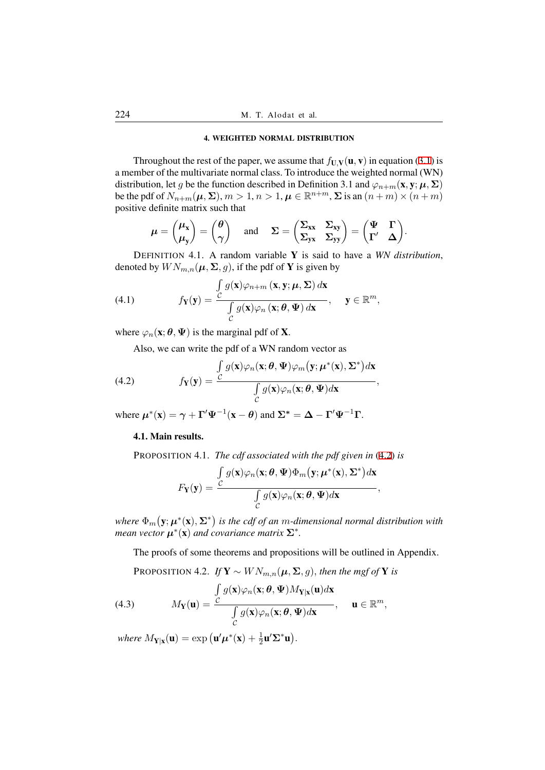### 4. WEIGHTED NORMAL DISTRIBUTION

Throughout the rest of the paper, we assume that  $f_{U,V}(u, v)$  in equation (3.1) is a member of the multivariate normal class. To introduce the weighted normal (WN) distribution, let *g* be the function described in Definition 3.1 and  $\varphi_{n+m}(\mathbf{x}, \mathbf{y}; \boldsymbol{\mu}, \boldsymbol{\Sigma})$ be the pdf of  $N_{n+m}(\mu, \Sigma), m > 1, n > 1, \mu \in \mathbb{R}^{n+m}, \Sigma$  is an  $(n+m) \times (n+m)$ positive definite matrix such that

$$
\mu = \begin{pmatrix} \mu_{x} \\ \mu_{y} \end{pmatrix} = \begin{pmatrix} \theta \\ \gamma \end{pmatrix} \quad \text{and} \quad \Sigma = \begin{pmatrix} \Sigma_{xx} & \Sigma_{xy} \\ \Sigma_{yx} & \Sigma_{yy} \end{pmatrix} = \begin{pmatrix} \Psi & \Gamma \\ \Gamma' & \Delta \end{pmatrix}.
$$

DEFINITION 4.1. A random variable Y is said to have a *WN distribution*, denoted by  $WN_{m,n}(\mu, \Sigma, g)$ , if the pdf of **Y** is given by

(4.1) 
$$
f_{\mathbf{Y}}(\mathbf{y}) = \frac{\int_{\mathcal{C}} g(\mathbf{x}) \varphi_{n+m} (\mathbf{x}, \mathbf{y}; \boldsymbol{\mu}, \boldsymbol{\Sigma}) d\mathbf{x}}{\int_{\mathcal{C}} g(\mathbf{x}) \varphi_{n} (\mathbf{x}; \boldsymbol{\theta}, \boldsymbol{\Psi}) d\mathbf{x}}, \quad \mathbf{y} \in \mathbb{R}^{m},
$$

where  $\varphi_n(\mathbf{x}; \theta, \Psi)$  is the marginal pdf of **X**.

Also, we can write the pdf of a WN random vector as

(4.2) 
$$
f_{\mathbf{Y}}(\mathbf{y}) = \frac{\int_{\mathcal{C}} g(\mathbf{x}) \varphi_n(\mathbf{x}; \boldsymbol{\theta}, \boldsymbol{\Psi}) \varphi_m(\mathbf{y}; \boldsymbol{\mu}^*(\mathbf{x}), \boldsymbol{\Sigma}^*) d\mathbf{x}}{\int_{\mathcal{C}} g(\mathbf{x}) \varphi_n(\mathbf{x}; \boldsymbol{\theta}, \boldsymbol{\Psi}) d\mathbf{x}},
$$

where  $\mu^*(\mathbf{x}) = \gamma + \Gamma' \Psi^{-1}(\mathbf{x} - \theta)$  and  $\Sigma^* = \Delta - \Gamma' \Psi^{-1} \Gamma$ .

### 4.1. Main results.

PROPOSITION 4.1. *The cdf associated with the pdf given in* (4.2) *is*

$$
F_{\mathbf{Y}}(\mathbf{y}) = \frac{\int_{\mathcal{C}} g(\mathbf{x}) \varphi_n(\mathbf{x}; \boldsymbol{\theta}, \boldsymbol{\Psi}) \Phi_m(\mathbf{y}; \boldsymbol{\mu}^*(\mathbf{x}), \boldsymbol{\Sigma}^*) d\mathbf{x}}{\int_{\mathcal{C}} g(\mathbf{x}) \varphi_n(\mathbf{x}; \boldsymbol{\theta}, \boldsymbol{\Psi}) d\mathbf{x}},
$$

where  $\Phi_m(y;\mu^*(x),\Sigma^*)$  is the cdf of an m-dimensional normal distribution with *mean vector*  $\boldsymbol{\mu}^*(\textbf{x})$  *and covariance matrix*  $\boldsymbol{\Sigma}^*$ *.* 

The proofs of some theorems and propositions will be outlined in Appendix.

PROPOSITION 4.2. *If*  $Y \sim W N_{m,n}(\mu, \Sigma, g)$ *, then the mgf of* Y *is* 

(4.3) 
$$
M_{\mathbf{Y}}(\mathbf{u}) = \frac{\int_{\mathcal{C}} g(\mathbf{x}) \varphi_n(\mathbf{x}; \boldsymbol{\theta}, \boldsymbol{\Psi}) M_{\mathbf{Y}|\mathbf{x}}(\mathbf{u}) d\mathbf{x}}{\int_{\mathcal{C}} g(\mathbf{x}) \varphi_n(\mathbf{x}; \boldsymbol{\theta}, \boldsymbol{\Psi}) d\mathbf{x}}, \quad \mathbf{u} \in \mathbb{R}^m,
$$

 $where M_{\mathbf{Y}|\mathbf{x}}(\mathbf{u}) = \exp(\mathbf{u}'\boldsymbol{\mu}^*(\mathbf{x}) + \frac{1}{2}\mathbf{u}'\boldsymbol{\Sigma}^*\mathbf{u}).$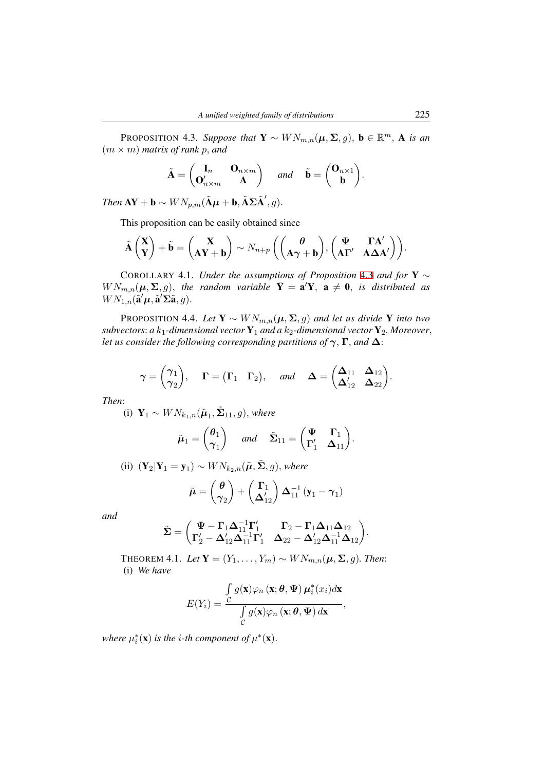PROPOSITION 4.3. *Suppose that*  $\mathbf{Y} \sim W N_{m,n}(\boldsymbol{\mu}, \boldsymbol{\Sigma}, g)$ ,  $\mathbf{b} \in \mathbb{R}^m$ , A is an (*m × m*) *matrix of rank p, and*

$$
\tilde{\mathbf{A}} = \begin{pmatrix} \mathbf{I}_n & \mathbf{O}_{n \times m} \\ \mathbf{O}_{n \times m}' & \mathbf{A} \end{pmatrix} \quad \text{and} \quad \tilde{\mathbf{b}} = \begin{pmatrix} \mathbf{O}_{n \times 1} \\ \mathbf{b} \end{pmatrix}.
$$

<span id="page-10-0"></span> $\boldsymbol{I}$ *Hen*  $\mathbf{A}\mathbf{Y} + \mathbf{b} \sim \textit{WN}_{p,m}(\tilde{\mathbf{A}}\boldsymbol{\mu} + \mathbf{b}, \tilde{\mathbf{A}}\boldsymbol{\Sigma}\tilde{\mathbf{A}}', g)$ .

This proposition can be easily obtained since

$$
\tilde{\mathbf{A}}\begin{pmatrix}\mathbf{X}\\ \mathbf{Y}\end{pmatrix} + \tilde{\mathbf{b}} = \begin{pmatrix}\mathbf{X}\\ \mathbf{AY} + \mathbf{b}\end{pmatrix} \sim N_{n+p} \left(\begin{pmatrix}\theta\\ \mathbf{A}\boldsymbol{\gamma} + \mathbf{b}\end{pmatrix}, \begin{pmatrix}\mathbf{\Psi} & \mathbf{\Gamma}\mathbf{A}'\\ \mathbf{A}\mathbf{\Gamma}' & \mathbf{A}\boldsymbol{\Delta}\mathbf{A}'\end{pmatrix}\right).
$$

COROLLARY 4.1. *Under the assumptions of Proposition* 4.3 *and for* Y *∼*  $WN_{m,n}(\mu, \Sigma, g)$ , the random variable  $\bar{Y} = \mathbf{a}'\mathbf{Y}$ ,  $\mathbf{a} \neq \mathbf{0}$ , *is distributed as*  $WN_{1,n}(\tilde{\mathbf{a}}'\boldsymbol{\mu}, \tilde{\mathbf{a}}'\boldsymbol{\Sigma}\tilde{\mathbf{a}}, g)$ .

<span id="page-10-2"></span>PROPOSITION 4.4. *Let*  $Y \sim W N_{m,n}(\mu, \Sigma, g)$  *and let us [divid](#page-10-0)e* Y *into two subvectors: a*  $k_1$ -dimensional vector  $Y_1$  *and a*  $k_2$ -dimensional vector  $Y_2$ *. Moreover*, *let us consider the following corresponding partitions of γ,* **Γ***, and* **∆**:

<span id="page-10-1"></span>
$$
\boldsymbol{\gamma} = \begin{pmatrix} \boldsymbol{\gamma}_1 \\ \boldsymbol{\gamma}_2 \end{pmatrix}
$$
,  $\boldsymbol{\Gamma} = (\boldsymbol{\Gamma}_1 \boldsymbol{\Gamma}_2)$ , and  $\boldsymbol{\Delta} = \begin{pmatrix} \boldsymbol{\Delta}_{11} & \boldsymbol{\Delta}_{12} \\ \boldsymbol{\Delta}_{12}' & \boldsymbol{\Delta}_{22} \end{pmatrix}$ .

*Then*:

 $(i)$   $\mathbf{Y}_1$  ∼  $WN_{k_1,n}(\tilde{\boldsymbol{\mu}}_1, \tilde{\boldsymbol{\Sigma}}_{11}, g)$ *, where* 

$$
\tilde{\boldsymbol{\mu}}_1 = \begin{pmatrix} \boldsymbol{\theta}_1 \\ \boldsymbol{\gamma}_1 \end{pmatrix}
$$
 and  $\tilde{\boldsymbol{\Sigma}}_{11} = \begin{pmatrix} \boldsymbol{\Psi} & \boldsymbol{\Gamma}_1 \\ \boldsymbol{\Gamma}'_1 & \boldsymbol{\Delta}_{11} \end{pmatrix}$ .

(ii) 
$$
(\mathbf{Y}_2 | \mathbf{Y}_1 = \mathbf{y}_1) \sim W N_{k_2, n}(\tilde{\boldsymbol{\mu}}, \tilde{\boldsymbol{\Sigma}}, g)
$$
, where

$$
\tilde{\boldsymbol{\mu}} = \begin{pmatrix} \boldsymbol{\theta} \\ \boldsymbol{\gamma}_2 \end{pmatrix} + \begin{pmatrix} \boldsymbol{\Gamma}_1 \\ \boldsymbol{\Delta}_{12}^{\prime} \end{pmatrix} \boldsymbol{\Delta}_{11}^{-1} (\mathbf{y}_1 - \boldsymbol{\gamma}_1)
$$

*and*

$$
\tilde{\mathbf{\Sigma}} = \begin{pmatrix} \Psi - \Gamma_1 \Delta_{11}^{-1} \Gamma_1' & \Gamma_2 - \Gamma_1 \Delta_{11} \Delta_{12} \\ \Gamma_2' - \Delta_{12}' \Delta_{11}^{-1} \Gamma_1' & \Delta_{22} - \Delta_{12}' \Delta_{11}^{-1} \Delta_{12} \end{pmatrix}.
$$

THEOREM 4.1. *Let*  $\mathbf{Y} = (Y_1, \ldots, Y_m) \sim W N_{m,n}(\boldsymbol{\mu}, \boldsymbol{\Sigma}, g)$ *. Then:* (i) *We have*

$$
E(Y_i) = \frac{\int\limits_C g(\mathbf{x})\varphi_n(\mathbf{x};\boldsymbol{\theta},\boldsymbol{\Psi})\,\mu_i^*(x_i)d\mathbf{x}}{\int\limits_C g(\mathbf{x})\varphi_n(\mathbf{x};\boldsymbol{\theta},\boldsymbol{\Psi})\,d\mathbf{x}},
$$

*where*  $\mu_i^*(\mathbf{x})$  *is the i-th component of*  $\mu^*(\mathbf{x})$ *.*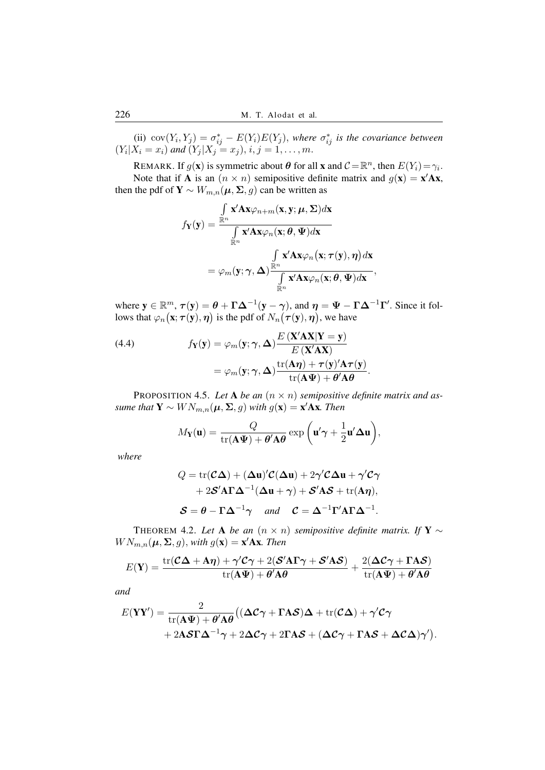(ii)  $cov(Y_i, Y_j) = \sigma_{ij}^* - E(Y_i)E(Y_j)$ , where  $\sigma_{ij}^*$  is the covariance between  $(Y_i | X_i = x_i)$  and  $(Y_j | X_j = x_j)$ ,  $i, j = 1, ..., m$ .

REMARK. If  $g(\mathbf{x})$  is symmetric about  $\boldsymbol{\theta}$  for all  $\mathbf{x}$  and  $\mathcal{C} = \mathbb{R}^n$ , then  $E(Y_i) = \gamma_i$ . Note that if **A** is an  $(n \times n)$  semipositive definite matrix and  $g(\mathbf{x}) = \mathbf{x}'\mathbf{A}\mathbf{x}$ , then the pdf of  $\mathbf{Y} \sim W_{m,n}(\boldsymbol{\mu}, \boldsymbol{\Sigma}, g)$  can be written as

$$
f_{\mathbf{Y}}(\mathbf{y}) = \frac{\int\limits_{\mathbb{R}^n} \mathbf{x}' \mathbf{A} \mathbf{x} \varphi_{n+m}(\mathbf{x}, \mathbf{y}; \boldsymbol{\mu}, \boldsymbol{\Sigma}) d\mathbf{x}}{\int\limits_{\mathbb{R}^n} \mathbf{x}' \mathbf{A} \mathbf{x} \varphi_n(\mathbf{x}; \boldsymbol{\theta}, \boldsymbol{\Psi}) d\mathbf{x}} = \varphi_m(\mathbf{y}; \boldsymbol{\gamma}, \boldsymbol{\Delta}) \frac{\int\limits_{\mathbb{R}^n} \mathbf{x}' \mathbf{A} \mathbf{x} \varphi_n(\mathbf{x}; \boldsymbol{\tau}(\mathbf{y}), \boldsymbol{\eta}) d\mathbf{x}}{\int\limits_{\mathbb{R}^n} \mathbf{x}' \mathbf{A} \mathbf{x} \varphi_n(\mathbf{x}; \boldsymbol{\theta}, \boldsymbol{\Psi}) d\mathbf{x}},
$$

where  $y \in \mathbb{R}^m$ ,  $\tau(y) = \theta + \Gamma \Delta^{-1}(y - \gamma)$ , and  $\eta = \Psi - \Gamma \Delta^{-1} \Gamma'$ . Since it follows that  $\varphi_n(\mathbf{x}; \tau(\mathbf{y}), \boldsymbol{\eta})$  is the pdf of  $N_n(\tau(\mathbf{y}), \boldsymbol{\eta})$ , we have

(4.4) 
$$
f_{\mathbf{Y}}(\mathbf{y}) = \varphi_m(\mathbf{y}; \gamma, \Delta) \frac{E(\mathbf{X}'\mathbf{A}\mathbf{X}|\mathbf{Y} = \mathbf{y})}{E(\mathbf{X}'\mathbf{A}\mathbf{X})}
$$

$$
= \varphi_m(\mathbf{y}; \gamma, \Delta) \frac{\text{tr}(\mathbf{A}\boldsymbol{\eta}) + \tau(\mathbf{y}')'\mathbf{A}\boldsymbol{\tau}(\mathbf{y})}{\text{tr}(\mathbf{A}\boldsymbol{\Psi}) + \boldsymbol{\theta}'\mathbf{A}\boldsymbol{\theta}}.
$$

<span id="page-11-0"></span>PROPOSITION 4.5. Let **A** be an  $(n \times n)$  semipositive definite matrix and as- *<i>W*  $N_{m,n}(\boldsymbol{\mu}, \boldsymbol{\Sigma}, g)$  with  $g(\mathbf{x}) = \mathbf{x}' \mathbf{A} \mathbf{x}$ *. Then* 

$$
M_{\mathbf{Y}}(\mathbf{u}) = \frac{Q}{\mathrm{tr}(\mathbf{A}\Psi) + \theta'\mathbf{A}\theta} \exp\left(\mathbf{u}'\boldsymbol{\gamma} + \frac{1}{2}\mathbf{u}'\boldsymbol{\Delta}\mathbf{u}\right),
$$

*where*

$$
Q = \text{tr}(\mathcal{C}\Delta) + (\Delta \mathbf{u})'\mathcal{C}(\Delta \mathbf{u}) + 2\gamma'\mathcal{C}\Delta \mathbf{u} + \gamma'\mathcal{C}\gamma + 2\mathcal{S}'\mathbf{A}\Gamma\Delta^{-1}(\Delta \mathbf{u} + \gamma) + \mathcal{S}'\mathbf{A}\mathcal{S} + \text{tr}(\mathbf{A}\eta),\n\mathcal{S} = \theta - \Gamma\Delta^{-1}\gamma \quad \text{and} \quad \mathcal{C} = \Delta^{-1}\Gamma'\mathbf{A}\Gamma\Delta^{-1}.
$$

THEOREM 4.2. *Let* **A** *be an*  $(n \times n)$  *semipositive definite matrix. If* **Y**  $\sim$  $WN_{m,n}(\boldsymbol{\mu}, \boldsymbol{\Sigma}, g)$ , with  $g(\mathbf{x}) = \mathbf{x}'\mathbf{A}\mathbf{x}$ *. Then* 

$$
E(\mathbf{Y}) = \frac{\text{tr}(\mathcal{C}\boldsymbol{\Delta} + \mathbf{A}\boldsymbol{\eta}) + \gamma'\mathcal{C}\boldsymbol{\gamma} + 2(\mathcal{S}'\mathbf{A}\boldsymbol{\Gamma}\boldsymbol{\gamma} + \mathcal{S}'\mathbf{A}\mathcal{S})}{\text{tr}(\mathbf{A}\boldsymbol{\Psi}) + \theta'\mathbf{A}\boldsymbol{\theta}} + \frac{2(\boldsymbol{\Delta}\mathcal{C}\boldsymbol{\gamma} + \boldsymbol{\Gamma}\mathbf{A}\mathcal{S})}{\text{tr}(\mathbf{A}\boldsymbol{\Psi}) + \theta'\mathbf{A}\boldsymbol{\theta}}
$$

*and*

$$
E(\mathbf{YY}') = \frac{2}{\text{tr}(\mathbf{A}\Psi) + \theta'\mathbf{A}\theta} \big( (\Delta C \gamma + \Gamma A \mathcal{S})\Delta + \text{tr}(C\Delta) + \gamma' C \gamma + 2\mathbf{A} \mathcal{S} \Gamma \Delta^{-1} \gamma + 2\Delta C \gamma + 2\Gamma A \mathcal{S} + (\Delta C \gamma + \Gamma A \mathcal{S} + \Delta C \Delta) \gamma' \big).
$$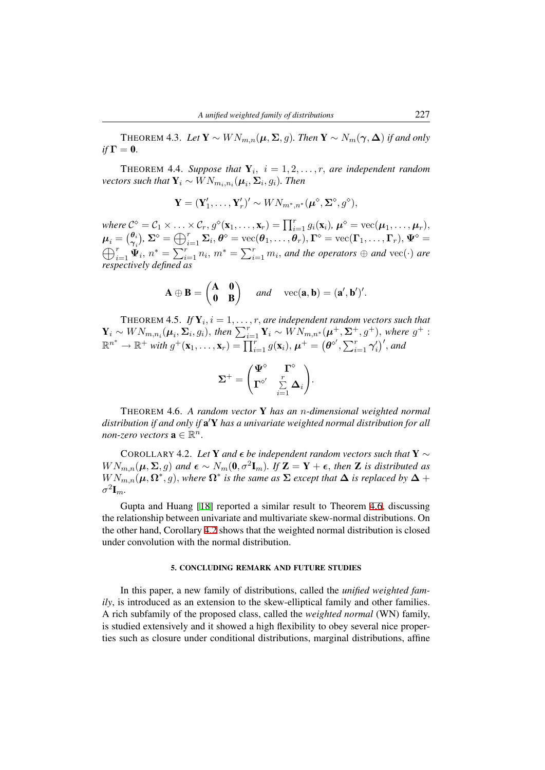THEOREM 4.3. *Let* Y *∼ W Nm,n*(*µ,* **Σ***, g*)*. Then* Y *∼ Nm*(*γ,* **∆**) *if and only*  $if \Gamma = 0.$ 

THEOREM 4.4. Suppose that  $Y_i$ ,  $i = 1, 2, \ldots, r$ , are independent random  $\mathbf{v}$ *ectors such that*  $\mathbf{Y}_i \sim \textit{WN}_{m_i,n_i}(\boldsymbol{\mu}_i,\mathbf{\Sigma}_i,g_i)$ *. Then* 

$$
\mathbf{Y} = (\mathbf{Y}'_1, \dots, \mathbf{Y}'_r)' \sim W N_{m^*, n^*}(\boldsymbol{\mu}^\diamond, \boldsymbol{\Sigma}^\diamond, g^\diamond),
$$

<span id="page-12-1"></span>where  $\mathcal{C}^{\diamond} = \mathcal{C}_1 \times \ldots \times \mathcal{C}_r, g^{\diamond}(\mathbf{x}_1, \ldots, \mathbf{x}_r) = \prod_{i=1}^r g_i(\mathbf{x}_i), \, \boldsymbol{\mu}^{\diamond} = \text{vec}(\boldsymbol{\mu}_1, \ldots, \boldsymbol{\mu}_r),$  $\boldsymbol{\mu}_i = \bigl( \frac{\theta_i}{\gamma_i}$  $(\theta_i, \theta_i)$ ,  $\Sigma^{\diamond} = \bigoplus_{i=1}^r \Sigma_i, \theta^{\diamond} = \text{vec}(\theta_1, \ldots, \theta_r)$ ,  $\Gamma^{\diamond} = \text{vec}(\Gamma_1, \ldots, \Gamma_r)$ ,  $\Psi^{\diamond} = \Pi$  $\bigoplus_{i=1}^r \mathbf{\Psi}_i$ ,  $n^* = \sum_{i=1}^r n_i$ ,  $m^* = \sum_{i=1}^r m_i$ , and the operators  $\oplus$  and  $\text{vec}(\cdot)$  are respectively defined as *respectively defined as*

$$
\mathbf{A} \oplus \mathbf{B} = \begin{pmatrix} \mathbf{A} & \mathbf{0} \\ \mathbf{0} & \mathbf{B} \end{pmatrix} \quad \text{and} \quad \text{vec}(\mathbf{a}, \mathbf{b}) = (\mathbf{a}', \mathbf{b}')'.
$$

<span id="page-12-2"></span>THEOREM 4.5. *If*  $Y_i$ ,  $i = 1, \ldots, r$ , are independent random vectors such that  $\mathbf{Y}_i \sim WN_{m,n_i}(\boldsymbol{\mu}_i, \boldsymbol{\Sigma}_i, g_i)$ , then  $\sum_{i=1}^r \mathbf{Y}_i \sim WN_{m,n^*}(\boldsymbol{\mu}^+, \boldsymbol{\Sigma}^+, g^+)$ , where  $g^+$ :  $\mathbb{R}^{n^*}\to\mathbb{R}^+$  with  $g^+(\mathbf{x}_1,\ldots,\mathbf{x}_r)=\prod_{i=1}^r g(\mathbf{x}_i),\,\boldsymbol{\mu}^+=\big(\boldsymbol{\theta}^{\diamond'},\sum_{i=1}^r\boldsymbol{\gamma}_i'\big)',$  and

$$
\mathbf{\Sigma}^+ = \begin{pmatrix} \mathbf{\Psi}^\diamond & \mathbf{\Gamma}^\diamond \\ \mathbf{\Gamma}^{\diamond\prime} & \sum\limits_{i=1}^r \mathbf{\Delta}_i \end{pmatrix}.
$$

THEOREM 4.6. *A random vector* Y *has an n-dimensional weighted normal distribution if and only if* a *′*Y *has a univariate weighted normal distribution for all non-zero vectors*  $\mathbf{a} \in \mathbb{R}^n$ .

COROLLARY 4.2. Let **Y** and  $\epsilon$  *be independent random vectors such that* **Y**  $\sim$  $WN_{m,n}(\mu, \Sigma, g)$  and  $\epsilon \sim N_m(0, \sigma^2 \mathbf{I}_m)$ . If  $\mathbf{Z} = \mathbf{Y} + \epsilon$ , then  $\mathbf{Z}$  is distributed as  $WN_{m,n}(\mu, \Omega^*, g)$ , where  $\Omega^*$  is the same as  $\Sigma$  except that  $\Delta$  is replaced by  $\Delta$  +  $\sigma^2 \mathbf{I}_m$ .

<span id="page-12-0"></span>Gupta and Huang [18] reported a similar result to Theorem 4.6, discussing the relationship between univariate and multivariate skew-normal distributions. On the other hand, Corollary 4.2 shows that the weighted normal distribution is closed under convolution with the normal distribution.

## 5. CONC[LUD](#page-12-0)ING REMARK AND FUTURE STUDIES

In this paper, a new family of distributions, called the *unified weighted family*, is introduced as an extension to the skew-elliptical family and other families. A rich subfamily of the proposed class, called the *weighted normal* (WN) family, is studied extensively and it showed a high flexibility to obey several nice properties such as closure under conditional distributions, marginal distributions, affine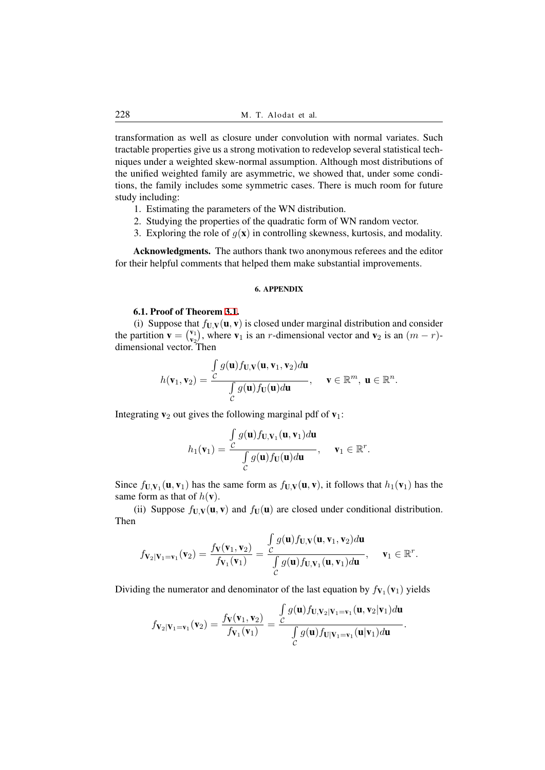transformation as well as closure under convolution with normal variates. Such tractable properties give us a strong motivation to redevelop several statistical techniques under a weighted skew-normal assumption. Although most distributions of the unified weighted family are asymmetric, we showed that, under some conditions, the family includes some symmetric cases. There is much room for future study including:

- 1. Estimating the parameters of the WN distribution.
- 2. Studying the properties of the quadratic form of WN random vector.
- 3. Exploring the role of  $q(\mathbf{x})$  in controlling skewness, kurtosis, and modality.

Acknowledgments. The authors thank two anonymous referees and the editor for their helpful comments that helped them make substantial improvements.

#### 6. APPENDIX

### 6.1. Proof of Theorem 3.1.

(i) Suppose that  $f_{U,V}(u, v)$  is closed under marginal distribution and consider the partition  $\mathbf{v} = \begin{pmatrix} \mathbf{v}_1 \\ \mathbf{v}_2 \end{pmatrix}$  $(v_1, v_2)$ , where  $v_1$  is an *r*-dimensional vector and  $v_2$  is an  $(m - r)$ dimensional vector. Then

$$
h(\mathbf{v}_1, \mathbf{v}_2) = \frac{\int_{\mathcal{C}} g(\mathbf{u}) f_{\mathbf{U},\mathbf{V}}(\mathbf{u}, \mathbf{v}_1, \mathbf{v}_2) d\mathbf{u}}{\int_{\mathcal{C}} g(\mathbf{u}) f_{\mathbf{U}}(\mathbf{u}) d\mathbf{u}}, \quad \mathbf{v} \in \mathbb{R}^m, \mathbf{u} \in \mathbb{R}^n.
$$

Integrating  $v_2$  out gives the following marginal pdf of  $v_1$ :

$$
h_1(\mathbf{v}_1) = \frac{\int_{\mathcal{C}} g(\mathbf{u}) f_{\mathbf{U},\mathbf{V}_1}(\mathbf{u}, \mathbf{v}_1) d\mathbf{u}}{\int_{\mathcal{C}} g(\mathbf{u}) f_{\mathbf{U}}(\mathbf{u}) d\mathbf{u}}, \quad \mathbf{v}_1 \in \mathbb{R}^r.
$$

Since  $f_{\mathbf{U},\mathbf{V}_1}(\mathbf{u}, \mathbf{v}_1)$  has the same form as  $f_{\mathbf{U},\mathbf{V}}(\mathbf{u}, \mathbf{v})$ , it follows that  $h_1(\mathbf{v}_1)$  has the same form as that of  $h(\mathbf{v})$ .

(ii) Suppose  $f_{\mathbf{U},\mathbf{V}}(\mathbf{u}, \mathbf{v})$  and  $f_{\mathbf{U}}(\mathbf{u})$  are closed under conditional distribution. Then

$$
f_{\mathbf{V}_2|\mathbf{V}_1=\mathbf{v}_1}(\mathbf{v}_2)=\frac{f_{\mathbf{V}}(\mathbf{v}_1,\mathbf{v}_2)}{f_{\mathbf{V}_1}(\mathbf{v}_1)}=\frac{\int_{\mathcal{C}} g(\mathbf{u})f_{\mathbf{U},\mathbf{V}}(\mathbf{u},\mathbf{v}_1,\mathbf{v}_2)d\mathbf{u}}{\int_{\mathcal{C}} g(\mathbf{u})f_{\mathbf{U},\mathbf{V}_1}(\mathbf{u},\mathbf{v}_1)d\mathbf{u}},\quad \mathbf{v}_1\in\mathbb{R}^r.
$$

Dividing the numerator and denominator of the last equation by  $f_{V_1}(v_1)$  yields

$$
f_{\mathbf{V}_2|\mathbf{V}_1=\mathbf{v}_1}(\mathbf{v}_2)=\frac{f_{\mathbf{V}}(\mathbf{v}_1,\mathbf{v}_2)}{f_{\mathbf{V}_1}(\mathbf{v}_1)}=\frac{\int_{\mathcal{C}} g(\mathbf{u})f_{\mathbf{U},\mathbf{V}_2|\mathbf{V}_1=\mathbf{v}_1}(\mathbf{u},\mathbf{v}_2|\mathbf{v}_1) d\mathbf{u}}{\int_{\mathcal{C}} g(\mathbf{u})f_{\mathbf{U}|\mathbf{V}_1=\mathbf{v}_1}(\mathbf{u}|\mathbf{v}_1) d\mathbf{u}}.
$$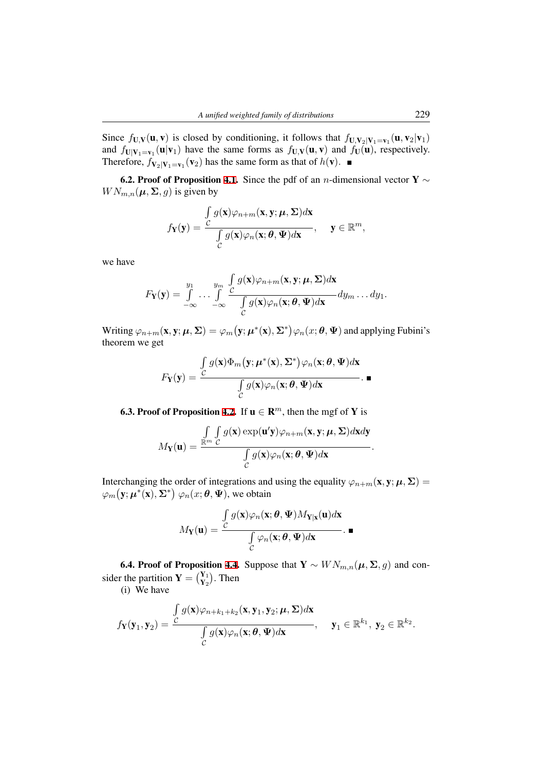Since  $f_{\mathbf{U},\mathbf{V}}(\mathbf{u},\mathbf{v})$  is closed by conditioning, it follows that  $f_{\mathbf{U},\mathbf{V}_2|\mathbf{V}_1=\mathbf{v}_1}(\mathbf{u},\mathbf{v}_2|\mathbf{v}_1)$ and  $f_{\mathbf{U}|\mathbf{V}_1=\mathbf{v}_1}(\mathbf{u}|\mathbf{v}_1)$  have the same forms as  $f_{\mathbf{U},\mathbf{V}}(\mathbf{u},\mathbf{v})$  and  $f_{\mathbf{U}}(\mathbf{u})$ , respectively. Therefore,  $f_{\mathbf{V}_2|\mathbf{V}_1=\mathbf{v}_1}(\mathbf{v}_2)$  has the same form as that of  $h(\mathbf{v})$ .

6.2. Proof of Proposition 4.1. Since the pdf of an *n*-dimensional vector Y *∼*  $WN_{m,n}(\boldsymbol{\mu}, \boldsymbol{\Sigma}, g)$  is given by

$$
f_{\mathbf{Y}}(\mathbf{y}) = \frac{\int_{\mathcal{C}} g(\mathbf{x}) \varphi_{n+m}(\mathbf{x}, \mathbf{y}; \boldsymbol{\mu}, \boldsymbol{\Sigma}) d\mathbf{x}}{\int_{\mathcal{C}} g(\mathbf{x}) \varphi_{n}(\mathbf{x}; \boldsymbol{\theta}, \boldsymbol{\Psi}) d\mathbf{x}}, \quad \mathbf{y} \in \mathbb{R}^{m},
$$

we have

$$
F_{\mathbf{Y}}(\mathbf{y}) = \int\limits_{-\infty}^{y_1} \ldots \int\limits_{-\infty}^{y_m} \frac{\int\limits_{\mathcal{C}} g(\mathbf{x}) \varphi_{n+m}(\mathbf{x}, \mathbf{y}; \boldsymbol{\mu}, \boldsymbol{\Sigma}) d\mathbf{x}}{\int\limits_{\mathcal{C}} g(\mathbf{x}) \varphi_n(\mathbf{x}; \boldsymbol{\theta}, \boldsymbol{\Psi}) d\mathbf{x}} d y_m \ldots d y_1.
$$

 $\text{Writing } \varphi_{n+m}(\mathbf{x},\mathbf{y};\boldsymbol{\mu},\boldsymbol{\Sigma}) = \varphi_{m}\big(\mathbf{y};\boldsymbol{\mu}^{*}(\mathbf{x}),\boldsymbol{\Sigma}^{*}\big)\varphi_{n}(x;\boldsymbol{\theta},\boldsymbol{\Psi}) \text{ and applying Fubini's }$ theorem we get

$$
F_{\mathbf{Y}}(\mathbf{y}) = \frac{\int_{\mathcal{C}} g(\mathbf{x}) \Phi_m(\mathbf{y}; \boldsymbol{\mu}^*(\mathbf{x}), \boldsymbol{\Sigma}^*) \varphi_n(\mathbf{x}; \boldsymbol{\theta}, \boldsymbol{\Psi}) d\mathbf{x}}{\int_{\mathcal{C}} g(\mathbf{x}) \varphi_n(\mathbf{x}; \boldsymbol{\theta}, \boldsymbol{\Psi}) d\mathbf{x}}.
$$

**6.3. Proof of Proposition 4.2.** If  $\mathbf{u} \in \mathbb{R}^m$ , then the mgf of Y is

$$
M_{\mathbf{Y}}(\mathbf{u}) = \frac{\int\limits_{\mathbb{R}^m} \int\limits_{\mathcal{C}} g(\mathbf{x}) \exp(\mathbf{u}'\mathbf{y}) \varphi_{n+m}(\mathbf{x}, \mathbf{y}; \boldsymbol{\mu}, \boldsymbol{\Sigma}) d\mathbf{x} d\mathbf{y}}{\int\limits_{\mathcal{C}} g(\mathbf{x}) \varphi_n(\mathbf{x}; \boldsymbol{\theta}, \boldsymbol{\Psi}) d\mathbf{x}}.
$$

Interchanging the order of integrations and using the equality  $\varphi_{n+m}(\mathbf{x}, \mathbf{y}; \boldsymbol{\mu}, \boldsymbol{\Sigma}) =$  $\varphi_m(\mathbf{y}; \boldsymbol{\mu}^*(\mathbf{x}), \boldsymbol{\Sigma}^*) \varphi_n(x; \boldsymbol{\theta}, \boldsymbol{\Psi})$ , we obtain

$$
M_{\mathbf{Y}}(\mathbf{u}) = \frac{\int_{\mathcal{C}} g(\mathbf{x}) \varphi_n(\mathbf{x}; \boldsymbol{\theta}, \boldsymbol{\Psi}) M_{\mathbf{Y}|\mathbf{x}}(\mathbf{u}) d\mathbf{x}}{\int_{\mathcal{C}} \varphi_n(\mathbf{x}; \boldsymbol{\theta}, \boldsymbol{\Psi}) d\mathbf{x}}.
$$

6.4. Proof of Proposition 4.4. Suppose that  $Y \sim \text{WN}_{m,n}(\mu, \Sigma, g)$  and consider the partition  $\mathbf{Y} = \begin{pmatrix} Y_1 \\ Y_2 \end{pmatrix}$ . Then

(i) We have

$$
f_{\mathbf{Y}}(\mathbf{y}_1, \mathbf{y}_2) = \frac{\int\limits_C g(\mathbf{x})\varphi_{n+k_1+k_2}(\mathbf{x}, \mathbf{y}_1, \mathbf{y}_2; \boldsymbol{\mu}, \boldsymbol{\Sigma})d\mathbf{x}}{\int\limits_C g(\mathbf{x})\varphi_n(\mathbf{x}; \boldsymbol{\theta}, \boldsymbol{\Psi})d\mathbf{x}}, \quad \mathbf{y}_1 \in \mathbb{R}^{k_1}, \mathbf{y}_2 \in \mathbb{R}^{k_2}.
$$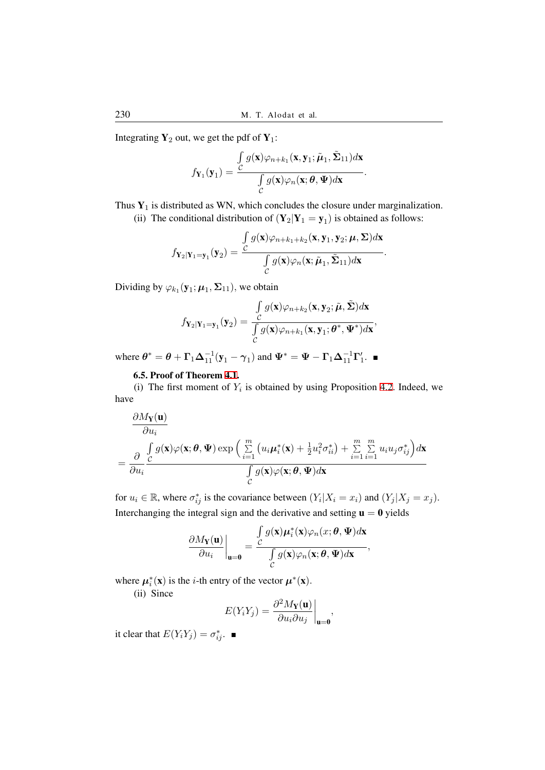Integrating  $Y_2$  out, we get the pdf of  $Y_1$ :

$$
f_{\mathbf{Y}_1}(\mathbf{y}_1) = \frac{\int\limits_C g(\mathbf{x})\varphi_{n+k_1}(\mathbf{x}, \mathbf{y}_1; \tilde{\boldsymbol{\mu}}_1, \tilde{\boldsymbol{\Sigma}}_{11})d\mathbf{x}}{\int\limits_C g(\mathbf{x})\varphi_n(\mathbf{x}; \boldsymbol{\theta}, \boldsymbol{\Psi})d\mathbf{x}}.
$$

Thus  $Y_1$  is distributed as WN, which concludes the closure under marginalization.

(ii) The conditional distribution of  $(Y_2|Y_1 = y_1)$  is obtained as follows:

$$
f_{\mathbf{Y}_2|\mathbf{Y}_1=\mathbf{y}_1}(\mathbf{y}_2) = \frac{\int_{\mathcal{C}} g(\mathbf{x})\varphi_{n+k_1+k_2}(\mathbf{x}, \mathbf{y}_1, \mathbf{y}_2; \boldsymbol{\mu}, \boldsymbol{\Sigma})d\mathbf{x}}{\int_{\mathcal{C}} g(\mathbf{x})\varphi_n(\mathbf{x}; \tilde{\boldsymbol{\mu}}_1, \tilde{\boldsymbol{\Sigma}}_{11})d\mathbf{x}}
$$

*.*

Dividing by  $\varphi_{k_1}(\mathbf{y}_1; \boldsymbol{\mu}_1, \boldsymbol{\Sigma}_{11}),$  we obtain

$$
f_{\mathbf{Y}_2|\mathbf{Y}_1=\mathbf{y}_1}(\mathbf{y}_2) = \frac{\int_{\mathcal{C}} g(\mathbf{x})\varphi_{n+k_2}(\mathbf{x}, \mathbf{y}_2; \tilde{\boldsymbol{\mu}}, \tilde{\boldsymbol{\Sigma}})d\mathbf{x}}{\int_{\mathcal{C}} g(\mathbf{x})\varphi_{n+k_1}(\mathbf{x}, \mathbf{y}_1; \boldsymbol{\theta}^*, \boldsymbol{\Psi}^*)d\mathbf{x}},
$$

where  $\theta^* = \theta + \Gamma_1 \Delta_{11}^{-1} (\mathbf{y}_1 - \gamma_1)$  and  $\Psi^* = \Psi - \Gamma_1 \Delta_{11}^{-1} \Gamma_1'$ .

# 6.5. Proof of Theorem 4.1.

(i) The first moment of  $Y_i$  is obtained by using Proposition 4.2. Indeed, we have

$$
\frac{\partial M_{\mathbf{Y}}(\mathbf{u})}{\partial u_i} = \frac{\partial}{\partial u_i} \frac{\int_{\mathcal{C}} g(\mathbf{x}) \varphi(\mathbf{x}; \boldsymbol{\theta}, \boldsymbol{\Psi}) \exp\left(\sum_{i=1}^m \left(u_i \boldsymbol{\mu}_i^*(\mathbf{x}) + \frac{1}{2} u_i^2 \sigma_{ii}^*\right) + \sum_{i=1}^m \sum_{i=1}^m u_i u_j \sigma_{ij}^*\right) d\mathbf{x}}{\int_{\mathcal{C}} g(\mathbf{x}) \varphi(\mathbf{x}; \boldsymbol{\theta}, \boldsymbol{\Psi}) d\mathbf{x}}
$$

for  $u_i \in \mathbb{R}$ , where  $\sigma_{ij}^*$  is the covariance between  $(Y_i | X_i = x_i)$  and  $(Y_j | X_j = x_j)$ . Interchanging the integral sign and the derivative and setting  $\mathbf{u} = \mathbf{0}$  yields

$$
\frac{\partial M_{\mathbf{Y}}(\mathbf{u})}{\partial u_i}\bigg|_{\mathbf{u}=\mathbf{0}} = \frac{\int_{\mathcal{C}} g(\mathbf{x}) \mu_i^*(\mathbf{x}) \varphi_n(x;\boldsymbol{\theta},\boldsymbol{\Psi}) d\mathbf{x}}{\int_{\mathcal{C}} g(\mathbf{x}) \varphi_n(\mathbf{x};\boldsymbol{\theta},\boldsymbol{\Psi}) d\mathbf{x}},
$$

where  $\mu_i^*(\mathbf{x})$  is the *i*-th entry of the vector  $\mu^*(\mathbf{x})$ .

(ii) Since

$$
E(Y_i Y_j) = \frac{\partial^2 M_{\mathbf{Y}}(\mathbf{u})}{\partial u_i \partial u_j}\bigg|_{\mathbf{u}=\mathbf{0}},
$$

it clear that  $E(Y_i Y_j) = \sigma_{ij}^*$ .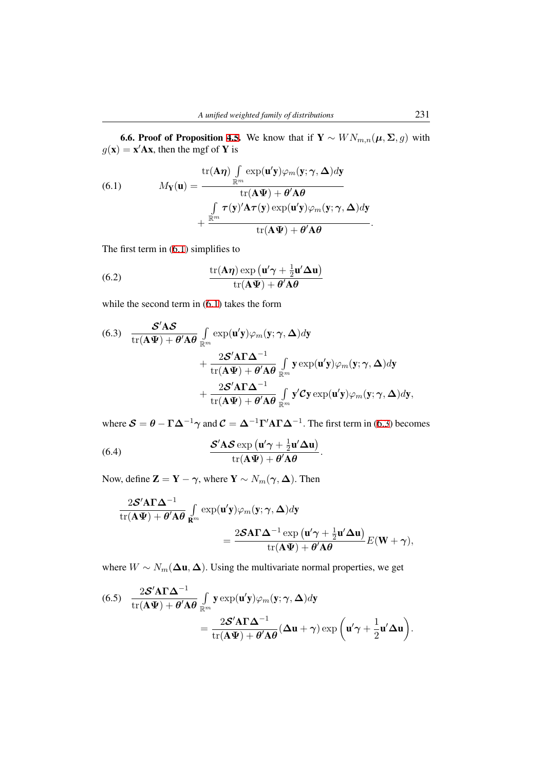6.6. Proof of Proposition 4.5. We know that if  $Y \sim W N_{m,n}(\mu, \Sigma, g)$  with  $g(\mathbf{x}) = \mathbf{x}'\mathbf{A}\mathbf{x}$ , then the mgf of **Y** is

(6.1) 
$$
M_{\mathbf{Y}}(\mathbf{u}) = \frac{\text{tr}(\mathbf{A}\boldsymbol{\eta}) \int_{\mathbb{R}^m} \exp(\mathbf{u}'\mathbf{y}) \varphi_m(\mathbf{y}; \boldsymbol{\gamma}, \boldsymbol{\Delta}) d\mathbf{y}}{\text{tr}(\mathbf{A}\boldsymbol{\Psi}) + \theta' \mathbf{A}\boldsymbol{\theta}} + \frac{\int_{\mathbb{R}^m} \tau(\mathbf{y})' \mathbf{A} \tau(\mathbf{y}) \exp(\mathbf{u}'\mathbf{y}) \varphi_m(\mathbf{y}; \boldsymbol{\gamma}, \boldsymbol{\Delta}) d\mathbf{y}}{\text{tr}(\mathbf{A}\boldsymbol{\Psi}) + \theta' \mathbf{A}\boldsymbol{\theta}}.
$$

<span id="page-16-0"></span>The first term in (6.1) simplifies to

(6.2) 
$$
\frac{\operatorname{tr}(\mathbf{A}\boldsymbol{\eta})\exp\left(\mathbf{u}'\boldsymbol{\gamma}+\frac{1}{2}\mathbf{u}'\boldsymbol{\Delta}\mathbf{u}\right)}{\operatorname{tr}(\mathbf{A}\boldsymbol{\Psi})+\boldsymbol{\theta}'\mathbf{A}\boldsymbol{\theta}}
$$

while the second term in (6.1) takes the form

<span id="page-16-2"></span><span id="page-16-1"></span>(6.3) 
$$
\frac{\mathcal{S}'\mathbf{A}\mathcal{S}}{\mathrm{tr}(\mathbf{A}\Psi) + \theta'\mathbf{A}\theta} \int_{\mathbb{R}^m} \exp(\mathbf{u}'\mathbf{y}) \varphi_m(\mathbf{y}; \gamma, \Delta) d\mathbf{y} + \frac{2\mathcal{S}'\mathbf{A}\Gamma\Delta^{-1}}{\mathrm{tr}(\mathbf{A}\Psi) + \theta'\mathbf{A}\theta} \int_{\mathbb{R}^m} \mathbf{y} \exp(\mathbf{u}'\mathbf{y}) \varphi_m(\mathbf{y}; \gamma, \Delta) d\mathbf{y} + \frac{2\mathcal{S}'\mathbf{A}\Gamma\Delta^{-1}}{\mathrm{tr}(\mathbf{A}\Psi) + \theta'\mathbf{A}\theta} \int_{\mathbb{R}^m} \mathbf{y}' \mathcal{C}\mathbf{y} \exp(\mathbf{u}'\mathbf{y}) \varphi_m(\mathbf{y}; \gamma, \Delta) d\mathbf{y},
$$

where  $S = \theta - \Gamma \Delta^{-1} \gamma$  and  $C = \Delta^{-1} \Gamma' A \Gamma \Delta^{-1}$ . The first term in (6.3) becomes

*.*

(6.4) 
$$
\frac{\mathbf{S}'\mathbf{A}\mathbf{S}\exp\left(\mathbf{u}'\boldsymbol{\gamma}+\frac{1}{2}\mathbf{u}'\boldsymbol{\Delta}\mathbf{u}\right)}{\mathrm{tr}(\mathbf{A}\boldsymbol{\Psi})+\boldsymbol{\theta}'\mathbf{A}\boldsymbol{\theta}}
$$

Now, define  $\mathbf{Z} = \mathbf{Y} - \boldsymbol{\gamma}$ , where  $\mathbf{Y} \sim N_m(\boldsymbol{\gamma}, \boldsymbol{\Delta})$ . Then

$$
\frac{2\mathcal{S}'A\Gamma\Delta^{-1}}{\mathrm{tr}(A\Psi) + \theta' A\theta} \int_{\mathbf{R}^m} \exp(\mathbf{u}'\mathbf{y}) \varphi_m(\mathbf{y}; \gamma, \Delta) d\mathbf{y}
$$
  
= 
$$
\frac{2\mathcal{S}A\Gamma\Delta^{-1} \exp(\mathbf{u}'\gamma + \frac{1}{2}\mathbf{u}'\Delta\mathbf{u})}{\mathrm{tr}(A\Psi) + \theta' A\theta} E(\mathbf{W} + \gamma),
$$

where  $W \sim N_m(\Delta \mathbf{u}, \Delta)$ . Using the multivariate normal properties, we get

(6.5) 
$$
\frac{2\mathcal{S}'\mathbf{A}\mathbf{\Gamma}\mathbf{\Delta}^{-1}}{\text{tr}(\mathbf{A}\mathbf{\Psi}) + \theta'\mathbf{A}\theta} \int_{\mathbb{R}^m} \mathbf{y} \exp(\mathbf{u}'\mathbf{y}) \varphi_m(\mathbf{y}; \boldsymbol{\gamma}, \boldsymbol{\Delta}) d\mathbf{y} \n= \frac{2\mathcal{S}'\mathbf{A}\mathbf{\Gamma}\mathbf{\Delta}^{-1}}{\text{tr}(\mathbf{A}\mathbf{\Psi}) + \theta'\mathbf{A}\theta} (\mathbf{\Delta}\mathbf{u} + \boldsymbol{\gamma}) \exp(\mathbf{u}'\boldsymbol{\gamma} + \frac{1}{2}\mathbf{u}'\mathbf{\Delta}\mathbf{u}).
$$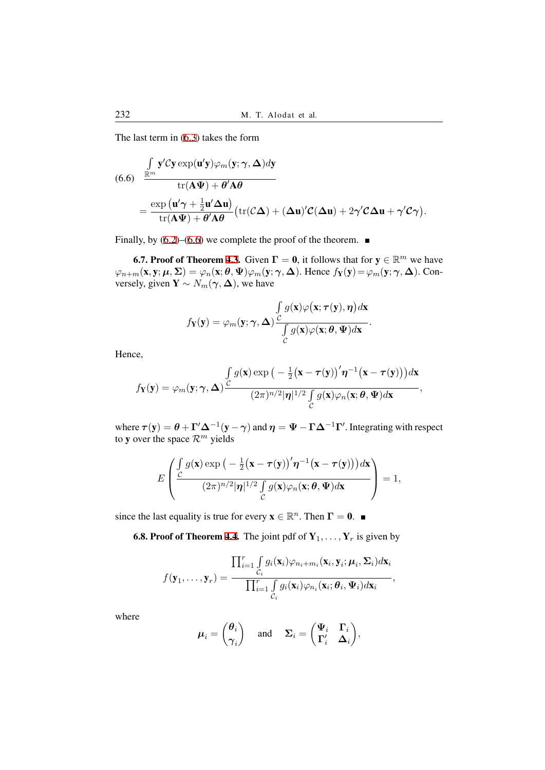The last term in (6.3) takes the form

(6.6) 
$$
\frac{\int_{\mathbb{R}^m} \mathbf{y}' \mathcal{C} \mathbf{y} \exp(\mathbf{u}' \mathbf{y}) \varphi_m(\mathbf{y}; \gamma, \Delta) d\mathbf{y}}{\text{tr}(\mathbf{A} \Psi) + \theta' \mathbf{A} \theta}
$$

$$
= \frac{\exp(\mathbf{u}' \gamma + \frac{1}{2} \mathbf{u}' \Delta \mathbf{u})}{\text{tr}(\mathbf{A} \Psi) + \theta' \mathbf{A} \theta} (\text{tr}(\mathcal{C} \Delta) + (\Delta \mathbf{u})' \mathcal{C}(\Delta \mathbf{u}) + 2\gamma' \mathcal{C} \Delta \mathbf{u} + \gamma' \mathcal{C} \gamma).
$$

<span id="page-17-0"></span>Finally, by  $(6.2)$ – $(6.6)$  we complete the proof of the theorem.

**6.7. Proof of Theorem 4.3.** Given  $\Gamma = 0$ , it follows that for  $y \in \mathbb{R}^m$  we have  $\varphi_{n+m}(\mathbf{x}, \mathbf{y}; \boldsymbol{\mu}, \boldsymbol{\Sigma}) = \varphi_n(\mathbf{x}; \boldsymbol{\theta}, \boldsymbol{\Psi}) \varphi_m(\mathbf{y}; \boldsymbol{\gamma}, \boldsymbol{\Delta}).$  Hence  $f_{\mathbf{Y}}(\mathbf{y}) = \varphi_m(\mathbf{y}; \boldsymbol{\gamma}, \boldsymbol{\Delta}).$  Conversely, giv[en](#page-16-2)  $\mathbf{Y} \sim N_m(\gamma, \Delta)$  $\mathbf{Y} \sim N_m(\gamma, \Delta)$  $\mathbf{Y} \sim N_m(\gamma, \Delta)$ , we have

$$
f_{\mathbf{Y}}(\mathbf{y}) = \varphi_m(\mathbf{y}; \gamma, \Delta) \frac{\int_{C} g(\mathbf{x}) \varphi(\mathbf{x}; \tau(\mathbf{y}), \eta) d\mathbf{x}}{\int_{C} g(\mathbf{x}) \varphi(\mathbf{x}; \theta, \Psi) d\mathbf{x}}.
$$

Hence,

$$
f_{\mathbf{Y}}(\mathbf{y}) = \varphi_m(\mathbf{y}; \boldsymbol{\gamma}, \boldsymbol{\Delta}) \frac{\int_{\mathcal{C}} g(\mathbf{x}) \exp\big(-\frac{1}{2}(\mathbf{x} - \boldsymbol{\tau}(\mathbf{y}))' \boldsymbol{\eta}^{-1}(\mathbf{x} - \boldsymbol{\tau}(\mathbf{y}))\big) d\mathbf{x}}{(2\pi)^{n/2} |\boldsymbol{\eta}|^{1/2} \int_{\mathcal{C}} g(\mathbf{x}) \varphi_n(\mathbf{x}; \boldsymbol{\theta}, \boldsymbol{\Psi}) d\mathbf{x}},
$$

where  $\bm{\tau}(\mathbf{y}) = \bm{\theta} + \bm{\Gamma}' \bm{\Delta}^{-1} (\mathbf{y} - \bm{\gamma})$  and  $\bm{\eta} = \bm{\Psi} - \bm{\Gamma} \bm{\Delta}^{-1} \bm{\Gamma}'$ . Integrating with respect to y over the space  $\mathcal{R}^m$  yields

$$
E\left(\frac{\int_{\mathcal{C}} g(\mathbf{x}) \exp\left(-\frac{1}{2}(\mathbf{x}-\boldsymbol{\tau}(\mathbf{y}))'\boldsymbol{\eta}^{-1}(\mathbf{x}-\boldsymbol{\tau}(\mathbf{y}))\right)d\mathbf{x}}{(2\pi)^{n/2}|\boldsymbol{\eta}|^{1/2}\int_{\mathcal{C}} g(\mathbf{x})\varphi_n(\mathbf{x};\boldsymbol{\theta},\boldsymbol{\Psi})d\mathbf{x}}\right)=1,
$$

since the last equality is true for every  $\mathbf{x} \in \mathbb{R}^n$ . Then  $\mathbf{\Gamma} = \mathbf{0}$ .

**6.8. Proof of Theorem 4.4.** The joint pdf of  $Y_1, \ldots, Y_r$  is given by

$$
f(\mathbf{y}_1,\ldots,\mathbf{y}_r)=\frac{\prod_{i=1}^r\int\limits_{\mathcal{C}_i}g_i(\mathbf{x}_i)\varphi_{n_i+m_i}(\mathbf{x}_i,\mathbf{y}_i;\boldsymbol{\mu}_i,\boldsymbol{\Sigma}_i)d\mathbf{x}_i}{\prod_{i=1}^r\int\limits_{\mathcal{C}_i}g_i(\mathbf{x}_i)\varphi_{n_i}(\mathbf{x}_i;\boldsymbol{\theta}_i,\boldsymbol{\Psi}_i)d\mathbf{x}_i},
$$

where

$$
\boldsymbol{\mu}_i = \begin{pmatrix} \boldsymbol{\theta}_i \\ \boldsymbol{\gamma}_i \end{pmatrix} \quad \text{ and } \quad \boldsymbol{\Sigma}_i = \begin{pmatrix} \boldsymbol{\Psi}_i & \boldsymbol{\Gamma}_i \\ \boldsymbol{\Gamma}'_i & \boldsymbol{\Delta}_i \end{pmatrix},
$$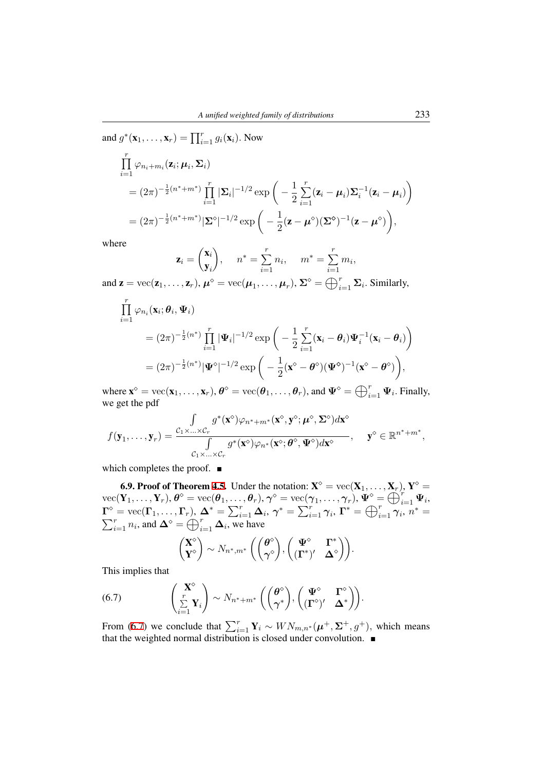and 
$$
g^*(\mathbf{x}_1,\dots,\mathbf{x}_r) = \prod_{i=1}^r g_i(\mathbf{x}_i)
$$
. Now  
\n
$$
\prod_{i=1}^r \varphi_{n_i+m_i}(\mathbf{z}_i; \boldsymbol{\mu}_i, \boldsymbol{\Sigma}_i)
$$
\n
$$
= (2\pi)^{-\frac{1}{2}(n^*+m^*)} \prod_{i=1}^r |\boldsymbol{\Sigma}_i|^{-1/2} \exp\left(-\frac{1}{2} \sum_{i=1}^r (\mathbf{z}_i - \boldsymbol{\mu}_i) \boldsymbol{\Sigma}_i^{-1} (\mathbf{z}_i - \boldsymbol{\mu}_i)\right)
$$
\n
$$
= (2\pi)^{-\frac{1}{2}(n^*+m^*)} |\boldsymbol{\Sigma}^{\circ}|^{-1/2} \exp\left(-\frac{1}{2} (\mathbf{z} - \boldsymbol{\mu}^{\circ})(\boldsymbol{\Sigma}^{\circ})^{-1} (\mathbf{z} - \boldsymbol{\mu}^{\circ})\right),
$$

where

$$
\mathbf{z}_i = \begin{pmatrix} \mathbf{x}_i \\ \mathbf{y}_i \end{pmatrix}, \quad n^* = \sum_{i=1}^r n_i, \quad m^* = \sum_{i=1}^r m_i,
$$

and  $\mathbf{z} = \text{vec}(\mathbf{z}_1, \dots, \mathbf{z}_r), \mu^{\diamond} = \text{vec}(\mu_1, \dots, \mu_r), \Sigma^{\diamond} = \bigoplus_{i=1}^r \Sigma_i$ . Similarly,

$$
\prod_{i=1}^r \varphi_{n_i}(\mathbf{x}_i; \boldsymbol{\theta}_i, \boldsymbol{\Psi}_i)
$$
\n
$$
= (2\pi)^{-\frac{1}{2}(n^*)} \prod_{i=1}^r |\boldsymbol{\Psi}_i|^{-1/2} \exp\bigg(-\frac{1}{2} \sum_{i=1}^r (\mathbf{x}_i - \boldsymbol{\theta}_i) \boldsymbol{\Psi}_i^{-1} (\mathbf{x}_i - \boldsymbol{\theta}_i)\bigg)
$$
\n
$$
= (2\pi)^{-\frac{1}{2}(n^*)} |\boldsymbol{\Psi}^{\diamond}|^{-1/2} \exp\bigg(-\frac{1}{2} (\mathbf{x}^{\diamond} - \boldsymbol{\theta}^{\diamond})(\boldsymbol{\Psi}^{\diamond})^{-1} (\mathbf{x}^{\diamond} - \boldsymbol{\theta}^{\diamond})\bigg),
$$

where  $\mathbf{x}^{\diamond} = \text{vec}(\mathbf{x}_1, \dots, \mathbf{x}_r)$ ,  $\boldsymbol{\theta}^{\diamond} = \text{vec}(\boldsymbol{\theta}_1, \dots, \boldsymbol{\theta}_r)$ , and  $\boldsymbol{\Psi}^{\diamond} = \bigoplus_{i=1}^r \boldsymbol{\Psi}_i$ . Finally, we get the ndf we get the pdf

$$
f(\mathbf{y}_1,\ldots,\mathbf{y}_r)=\frac{\int\limits_{\mathcal{C}_1\times\ldots\times\mathcal{C}_r}g^*(\mathbf{x}^\diamond)\varphi_{n^*+m^*}(\mathbf{x}^\diamond,\mathbf{y}^\diamond;\boldsymbol{\mu}^\diamond,\boldsymbol{\Sigma}^\diamond)d\mathbf{x}^\diamond}{\int\limits_{\mathcal{C}_1\times\ldots\times\mathcal{C}_r}g^*(\mathbf{x}^\diamond)\varphi_{n^*}(\mathbf{x}^\diamond;\boldsymbol{\theta}^\diamond,\boldsymbol{\Psi}^\diamond)d\mathbf{x}^\diamond},\quad \mathbf{y}^\diamond\in\mathbb{R}^{n^*+m^*},
$$

which completes the proof.  $\blacksquare$ 

**6.9. Proof of Theorem 4.5.** Under the notation:  $X^{\diamond} = \text{vec}(\mathbf{X}_1, \dots, \mathbf{X}_r)$ ,  $Y^{\diamond} = \mathbf{X}$  $\text{vec}(\mathbf{Y}_1,\ldots,\mathbf{Y}_r), \boldsymbol{\theta}^{\diamond} = \text{vec}(\boldsymbol{\theta}_1,\ldots,\boldsymbol{\theta}_r), \boldsymbol{\gamma}^{\diamond} = \text{vec}(\boldsymbol{\gamma}_1,\ldots,\boldsymbol{\gamma}_r), \boldsymbol{\Psi}^{\diamond} = \bigoplus_{i=1}^r \boldsymbol{\Psi}_i, \ \boldsymbol{\Gamma}^{\diamond} = \text{vec}(\boldsymbol{\Gamma}_1,\ldots,\boldsymbol{\Gamma}_r), \ \boldsymbol{\Lambda}^* = \nabla^r \boldsymbol{\Lambda} \cdot \boldsymbol{\gamma}^* = \nabla^r \boldsymbol{\gamma} \cdot \boldsymbol{\Gamma}^* = \bigoplus_{i=1$  $\Gamma^{\diamond} = \text{vec}(\Gamma_1, \ldots, \Gamma_r), \ \Delta^* = \sum_{i=1}^r \Delta_i, \ \gamma^* = \sum_{i=1}^r \gamma_i, \ \Gamma^* = \bigoplus_{i=1}^r \gamma_i, \ n$ ∑ *∗* = *r*<sub>*i*=1</sub> *n<sub>i</sub>*, and  $\Delta^{\circ} = \bigoplus_{i=1}^{r} \Delta_i$ , we have

$$
\begin{pmatrix} \mathbf{X}^{\diamond} \\ \mathbf{Y}^{\diamond} \end{pmatrix} \sim N_{n^*,m^*} \left( \begin{pmatrix} \boldsymbol{\theta}^{\diamond} \\ \boldsymbol{\gamma}^{\diamond} \end{pmatrix}, \begin{pmatrix} \boldsymbol{\Psi}^{\diamond} & \boldsymbol{\Gamma}^* \\ (\boldsymbol{\Gamma}^*)' & \boldsymbol{\Delta}^{\diamond} \end{pmatrix} \right).
$$

This implies that

(6.7) 
$$
\begin{pmatrix} \mathbf{X}^{\diamond} \\ \sum\limits_{i=1}^{r} \mathbf{Y}_{i} \end{pmatrix} \sim N_{n^{*}+m^{*}} \left( \begin{pmatrix} \boldsymbol{\theta}^{\diamond} \\ \boldsymbol{\gamma}^{*} \end{pmatrix}, \begin{pmatrix} \boldsymbol{\Psi}^{\diamond} & \boldsymbol{\Gamma}^{\diamond} \\ (\boldsymbol{\Gamma}^{\diamond})' & \boldsymbol{\Delta}^{*} \end{pmatrix} \right).
$$

From (6.7) we conclude that  $\sum_{i=1}^{r} \mathbf{Y}_i \sim \text{W} \text{N}_{m,n^*}(\boldsymbol{\mu}^+, \boldsymbol{\Sigma}^+, g^+)$ , which means that the weighted normal distribution is closed under convolution.  $\blacksquare$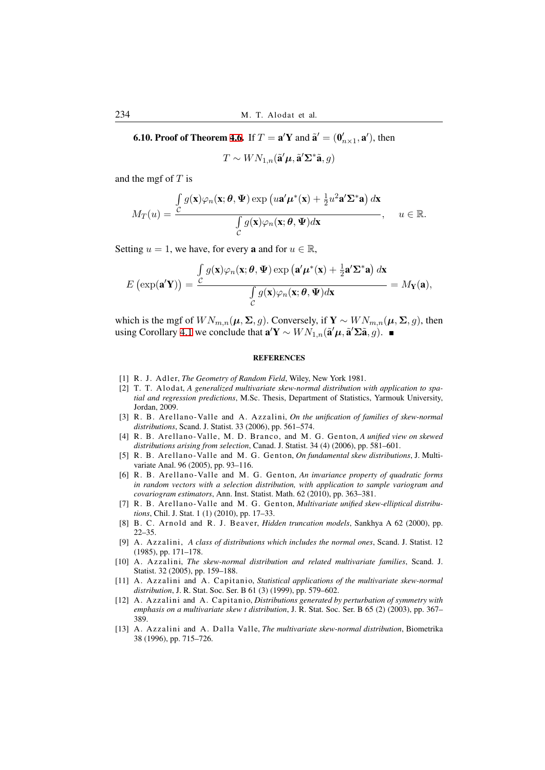**6.10. Proof of Theorem 4.6.** If  $T = \mathbf{a}'\mathbf{Y}$  and  $\tilde{\mathbf{a}}' = (\mathbf{0}'_{n \times 1}, \mathbf{a}')$ , then

 $T \sim WN_{1,n}(\tilde{\mathbf{a}}'\boldsymbol{\mu}, \tilde{\mathbf{a}}'\boldsymbol{\Sigma}^*\tilde{\mathbf{a}}, g)$ 

and the mgf of *T* is

$$
M_T(u) = \frac{\int_{\mathcal{C}} g(\mathbf{x}) \varphi_n(\mathbf{x}; \boldsymbol{\theta}, \boldsymbol{\Psi}) \exp(u\mathbf{a}' \boldsymbol{\mu}^*(\mathbf{x}) + \frac{1}{2} u^2 \mathbf{a}' \boldsymbol{\Sigma}^* \mathbf{a}) d\mathbf{x}}{\int_{\mathcal{C}} g(\mathbf{x}) \varphi_n(\mathbf{x}; \boldsymbol{\theta}, \boldsymbol{\Psi}) d\mathbf{x}}, \quad u \in \mathbb{R}.
$$

Setting  $u = 1$ , we have, for every **a** and for  $u \in \mathbb{R}$ ,

$$
E\left(\exp(\mathbf{a}'\mathbf{Y})\right) = \frac{\int_{C} g(\mathbf{x})\varphi_n(\mathbf{x}; \boldsymbol{\theta}, \boldsymbol{\Psi}) \exp(\mathbf{a}'\boldsymbol{\mu}^*(\mathbf{x}) + \frac{1}{2}\mathbf{a}'\boldsymbol{\Sigma}^*\mathbf{a}) d\mathbf{x}}{\int_{C} g(\mathbf{x})\varphi_n(\mathbf{x}; \boldsymbol{\theta}, \boldsymbol{\Psi}) d\mathbf{x}} = M_{\mathbf{Y}}(\mathbf{a}),
$$

which is the mgf of  $WN_{m,n}(\mu, \Sigma, g)$ . Conversely, if  $\mathbf{Y} \sim WN_{m,n}(\mu, \Sigma, g)$ , then *using* **Corollary 4.1 we conclude that**  $\mathbf{a}'\mathbf{Y} \sim WN_{1,n}(\tilde{\mathbf{a}}'\boldsymbol{\mu}, \tilde{\mathbf{a}}'\boldsymbol{\Sigma}\tilde{\mathbf{a}}, g)$ **. ■** 

## **REFERENCES**

- [1] R. J. Adler, *[The](#page-10-2) Geometry of Random Field*, Wiley, New York 1981.
- [2] T. T. Alodat, *A generalized multivariate skew-normal distribution with application to spatial and regression predictions*, M.Sc. Thesis, Department of Statistics, Yarmouk University, Jordan, 2009.
- [3] R. B. Arellano-Valle and A. Azzalini, *On the unification of families of skew-normal distributions*, Scand. J. Statist. 33 (2006), pp. 561–574.
- <span id="page-19-5"></span>[4] R. B. Arellano-Valle, M. D. Branco, and M. G. Genton, *A unified view on skewed distributions arising from selection*, Canad. J. Statist. 34 (4) (2006), pp. 581–601.
- <span id="page-19-7"></span>[5] R. B. Arellano-Valle and M. G. Genton, *On fundamental skew distributions*, J. Multivariate Anal. 96 (2005), pp. 93–116.
- <span id="page-19-1"></span>[6] R. B. Arellano-Valle and M. G. Genton, An invariance property of quadratic forms *in random vectors with a selection distribution, with application to sample variogram and covariogram estimators*, Ann. Inst. Statist. Math. 62 (2010), pp. 363–381.
- <span id="page-19-8"></span>[7] R. B. Arellano-Valle and M. G. Genton, *Multivariate unified skew-elliptical distributions*, Chil. J. Stat. 1 (1) (2010), pp. 17–33.
- <span id="page-19-9"></span>[8] B. C. Arnold and R. J. Beaver, *Hidden truncation models*, Sankhya A 62 (2000), pp. 22–35.
- <span id="page-19-2"></span>[9] A. Azzali ni, *A class of distributions which includes the normal ones*, Scand. J. Statist. 12 (1985), pp. 171–178.
- [10] A. Azzali ni, *The skew-normal distribution and related multivariate families*, Scand. J. Statist. 32 (2005), pp. 159–188.
- <span id="page-19-0"></span>[11] A. Azzalini and A. Capitanio, *Statistical applications of the multivariate skew-normal distribution*, J. R. Stat. Soc. Ser. B 61 (3) (1999), pp. 579–602.
- <span id="page-19-6"></span>[12] A. Azzalini and A. Capitanio, *Distributions generated by perturbation of symmetry with emphasis on a multivariate skew t distribution*, J. R. Stat. Soc. Ser. B 65 (2) (2003), pp. 367– 389.
- <span id="page-19-4"></span><span id="page-19-3"></span>[13] A. Azzali ni and A. Dalla Valle, *The multivariate skew-normal distribution*, Biometrika 38 (1996), pp. 715–726.